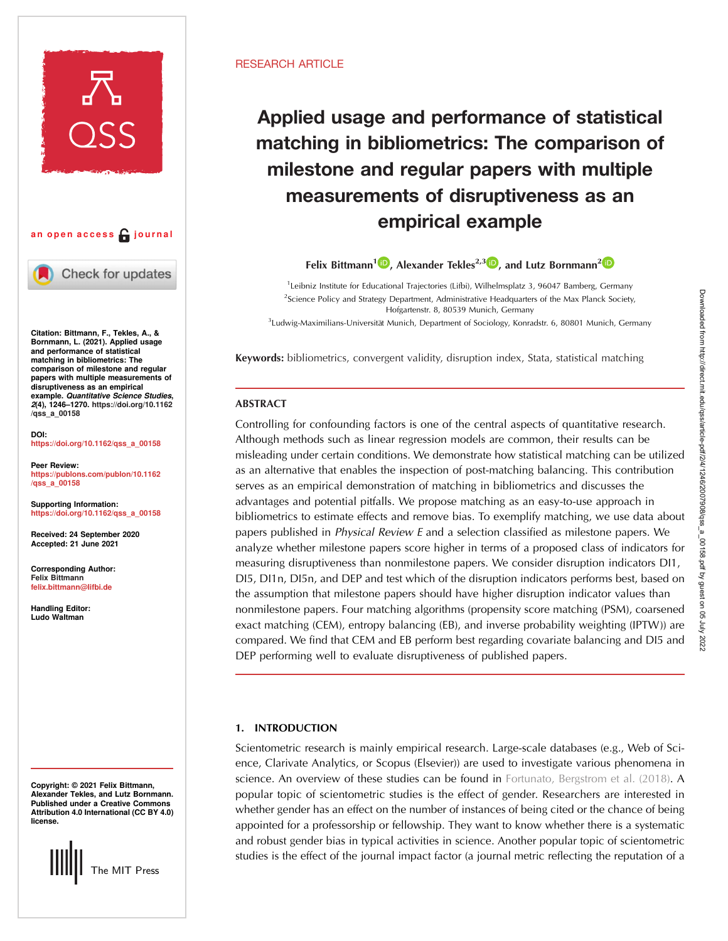



Check for updates

Citation: Bittmann, F., Tekles, A., & Bornmann, L. (2021). Applied usage and performance of statistical matching in bibliometrics: The comparison of milestone and regular papers with multiple measurements of disruptiveness as an empirical example. Quantitative Science Studies, 2(4), 1246–1270. [https://doi.org/10.1162](https://doi.org/10.1162/qss_a_00158) [/qss\\_a\\_00158](https://doi.org/10.1162/qss_a_00158)

DOI: [https://doi.org/10.1162/qss\\_a\\_00158](https://doi.org/10.1162/qss_a_00158)

Peer Review: [https://publons.com/publon/10.1162](https://publons.com/publon/10.1162/qss_a_00158) [/qss\\_a\\_00158](https://publons.com/publon/10.1162/qss_a_00158)

Supporting Information: [https://doi.org/10.1162/qss\\_a\\_00158](https://doi.org/10.1162/qss_a_00158)

Received: 24 September 2020 Accepted: 21 June 2021

Corresponding Author: Felix Bittmann [felix.bittmann@lifbi.de](mailto:felix.bittmann@lifbi.de)

Handling Editor: Ludo Waltman

Copyright: © 2021 Felix Bittmann, Alexander Tekles, and Lutz Bornmann. Published under a Creative Commons Attribution 4.0 International (CC BY 4.0) license.



## RESEARCH ARTICLE

# Applied usage and performance of statistical matching in bibliometrics: The comparison of milestone and regular papers with multiple measurements of disruptiveness as an empirical example

Felix Bittmann<sup>1</sup><sup>1</sup>, Alexander Tekles<sup>[2](https://orcid.org/0000-0003-0810-7091),3</sup><sup>1</sup>, and Lutz Bornmann<sup>2</sup><sup>1</sup>

<sup>1</sup>Leibniz Institute for Educational Trajectories (Lifbi), Wilhelmsplatz 3, 96047 Bamberg, Germany <sup>2</sup>Science Policy and Strategy Department, Administrative Headquarters of the Max Planck Society, Hofgartenstr. 8, 80539 Munich, Germany

<sup>3</sup> Ludwig-Maximilians-Universität Munich, Department of Sociology, Konradstr. 6, 80801 Munich, Germany

Keywords: bibliometrics, convergent validity, disruption index, Stata, statistical matching

# ABSTRACT

Controlling for confounding factors is one of the central aspects of quantitative research. Although methods such as linear regression models are common, their results can be misleading under certain conditions. We demonstrate how statistical matching can be utilized as an alternative that enables the inspection of post-matching balancing. This contribution serves as an empirical demonstration of matching in bibliometrics and discusses the advantages and potential pitfalls. We propose matching as an easy-to-use approach in bibliometrics to estimate effects and remove bias. To exemplify matching, we use data about papers published in Physical Review E and a selection classified as milestone papers. We analyze whether milestone papers score higher in terms of a proposed class of indicators for measuring disruptiveness than nonmilestone papers. We consider disruption indicators DI1, DI5, DI1n, DI5n, and DEP and test which of the disruption indicators performs best, based on the assumption that milestone papers should have higher disruption indicator values than nonmilestone papers. Four matching algorithms (propensity score matching (PSM), coarsened exact matching (CEM), entropy balancing (EB), and inverse probability weighting (IPTW)) are compared. We find that CEM and EB perform best regarding covariate balancing and DI5 and DEP performing well to evaluate disruptiveness of published papers.

# 1. INTRODUCTION

Scientometric research is mainly empirical research. Large-scale databases (e.g., Web of Science, Clarivate Analytics, or Scopus (Elsevier)) are used to investigate various phenomena in science. An overview of these studies can be found in [Fortunato, Bergstrom et al. \(2018\).](#page-23-0) A popular topic of scientometric studies is the effect of gender. Researchers are interested in whether gender has an effect on the number of instances of being cited or the chance of being appointed for a professorship or fellowship. They want to know whether there is a systematic and robust gender bias in typical activities in science. Another popular topic of scientometric studies is the effect of the journal impact factor (a journal metric reflecting the reputation of a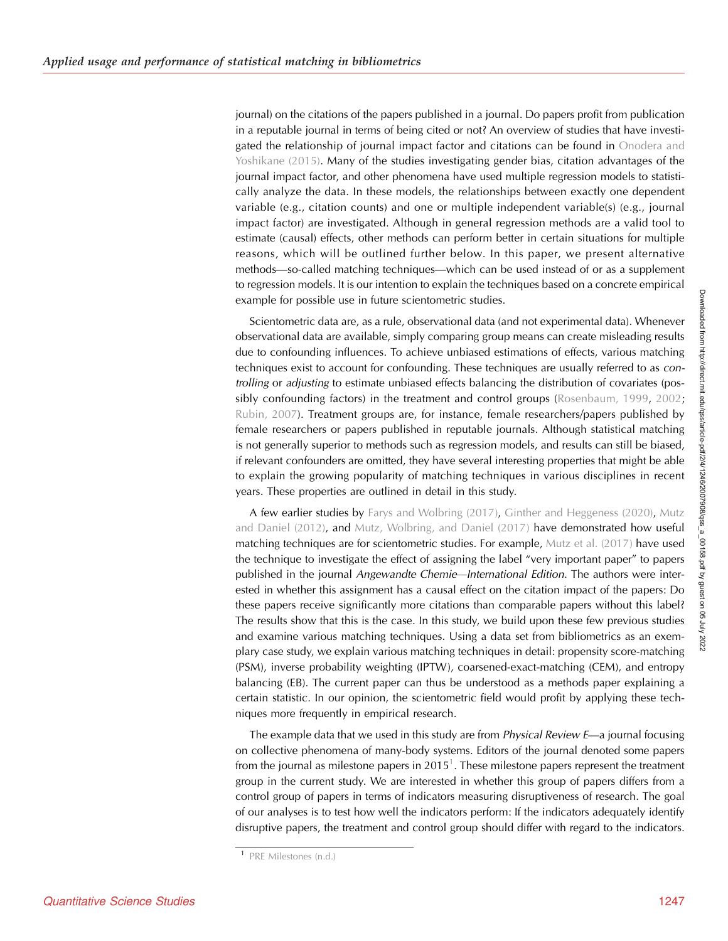journal) on the citations of the papers published in a journal. Do papers profit from publication in a reputable journal in terms of being cited or not? An overview of studies that have investigated the relationship of journal impact factor and citations can be found in [Onodera and](#page-24-0) [Yoshikane \(2015\)](#page-24-0). Many of the studies investigating gender bias, citation advantages of the journal impact factor, and other phenomena have used multiple regression models to statistically analyze the data. In these models, the relationships between exactly one dependent variable (e.g., citation counts) and one or multiple independent variable(s) (e.g., journal impact factor) are investigated. Although in general regression methods are a valid tool to estimate (causal) effects, other methods can perform better in certain situations for multiple reasons, which will be outlined further below. In this paper, we present alternative methods—so-called matching techniques—which can be used instead of or as a supplement to regression models. It is our intention to explain the techniques based on a concrete empirical example for possible use in future scientometric studies.

Scientometric data are, as a rule, observational data (and not experimental data). Whenever observational data are available, simply comparing group means can create misleading results due to confounding influences. To achieve unbiased estimations of effects, various matching techniques exist to account for confounding. These techniques are usually referred to as controlling or adjusting to estimate unbiased effects balancing the distribution of covariates (pos-sibly confounding factors) in the treatment and control groups ([Rosenbaum, 1999,](#page-24-0) [2002](#page-24-0); [Rubin, 2007](#page-24-0)). Treatment groups are, for instance, female researchers/papers published by female researchers or papers published in reputable journals. Although statistical matching is not generally superior to methods such as regression models, and results can still be biased, if relevant confounders are omitted, they have several interesting properties that might be able to explain the growing popularity of matching techniques in various disciplines in recent years. These properties are outlined in detail in this study.

A few earlier studies by [Farys and Wolbring \(2017\),](#page-23-0) [Ginther and Heggeness \(2020\)](#page-23-0), [Mutz](#page-24-0) [and Daniel \(2012\),](#page-24-0) and [Mutz, Wolbring, and Daniel \(2017\)](#page-24-0) have demonstrated how useful matching techniques are for scientometric studies. For example, [Mutz et al. \(2017\)](#page-24-0) have used the technique to investigate the effect of assigning the label "very important paper" to papers published in the journal Angewandte Chemie—International Edition. The authors were interested in whether this assignment has a causal effect on the citation impact of the papers: Do these papers receive significantly more citations than comparable papers without this label? The results show that this is the case. In this study, we build upon these few previous studies and examine various matching techniques. Using a data set from bibliometrics as an exemplary case study, we explain various matching techniques in detail: propensity score-matching (PSM), inverse probability weighting (IPTW), coarsened-exact-matching (CEM), and entropy balancing (EB). The current paper can thus be understood as a methods paper explaining a certain statistic. In our opinion, the scientometric field would profit by applying these techniques more frequently in empirical research.

The example data that we used in this study are from *Physical Review E—a* journal focusing on collective phenomena of many-body systems. Editors of the journal denoted some papers from the journal as milestone papers in 2015 $^{\text{1}}$ . These milestone papers represent the treatment group in the current study. We are interested in whether this group of papers differs from a control group of papers in terms of indicators measuring disruptiveness of research. The goal of our analyses is to test how well the indicators perform: If the indicators adequately identify disruptive papers, the treatment and control group should differ with regard to the indicators.

<sup>1</sup> [PRE Milestones \(n.d.\)](#page-24-0)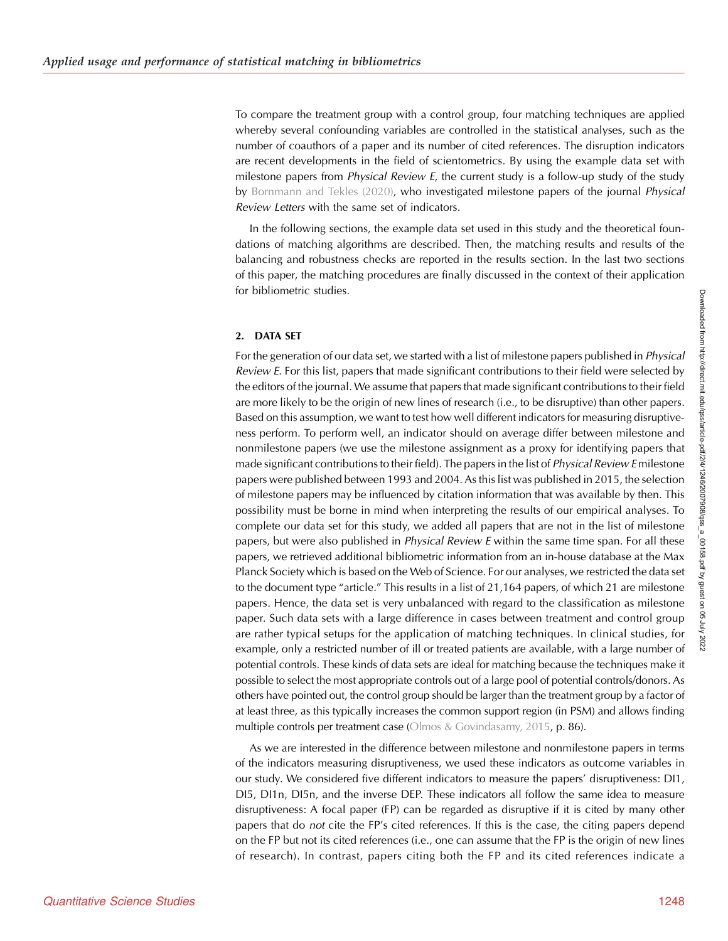To compare the treatment group with a control group, four matching techniques are applied whereby several confounding variables are controlled in the statistical analyses, such as the number of coauthors of a paper and its number of cited references. The disruption indicators are recent developments in the field of scientometrics. By using the example data set with milestone papers from *Physical Review E*, the current study is a follow-up study of the study by [Bornmann and Tekles \(2020\),](#page-23-0) who investigated milestone papers of the journal Physical Review Letters with the same set of indicators.

In the following sections, the example data set used in this study and the theoretical foundations of matching algorithms are described. Then, the matching results and results of the balancing and robustness checks are reported in the results section. In the last two sections of this paper, the matching procedures are finally discussed in the context of their application for bibliometric studies.

## 2. DATA SET

For the generation of our data set, we started with a list of milestone papers published in *Physical* Review E. For this list, papers that made significant contributions to their field were selected by the editors of the journal. We assume that papers that made significant contributions to their field are more likely to be the origin of new lines of research (i.e., to be disruptive) than other papers. Based on this assumption, we want to test how well different indicators for measuring disruptiveness perform. To perform well, an indicator should on average differ between milestone and nonmilestone papers (we use the milestone assignment as a proxy for identifying papers that made significant contributions to their field). The papers in the list of *Physical Review E* milestone papers were published between 1993 and 2004. As this list was published in 2015, the selection of milestone papers may be influenced by citation information that was available by then. This possibility must be borne in mind when interpreting the results of our empirical analyses. To complete our data set for this study, we added all papers that are not in the list of milestone papers, but were also published in *Physical Review E* within the same time span. For all these papers, we retrieved additional bibliometric information from an in-house database at the Max Planck Society which is based on the Web of Science. For our analyses, we restricted the data set to the document type "article." This results in a list of 21,164 papers, of which 21 are milestone papers. Hence, the data set is very unbalanced with regard to the classification as milestone paper. Such data sets with a large difference in cases between treatment and control group are rather typical setups for the application of matching techniques. In clinical studies, for example, only a restricted number of ill or treated patients are available, with a large number of potential controls. These kinds of data sets are ideal for matching because the techniques make it possible to select the most appropriate controls out of a large pool of potential controls/donors. As others have pointed out, the control group should be larger than the treatment group by a factor of at least three, as this typically increases the common support region (in PSM) and allows finding multiple controls per treatment case ([Olmos & Govindasamy, 2015,](#page-24-0) p. 86).

As we are interested in the difference between milestone and nonmilestone papers in terms of the indicators measuring disruptiveness, we used these indicators as outcome variables in our study. We considered five different indicators to measure the papers' disruptiveness: DI1, DI5, DI1n, DI5n, and the inverse DEP. These indicators all follow the same idea to measure disruptiveness: A focal paper (FP) can be regarded as disruptive if it is cited by many other papers that do not cite the FP's cited references. If this is the case, the citing papers depend on the FP but not its cited references (i.e., one can assume that the FP is the origin of new lines of research). In contrast, papers citing both the FP and its cited references indicate a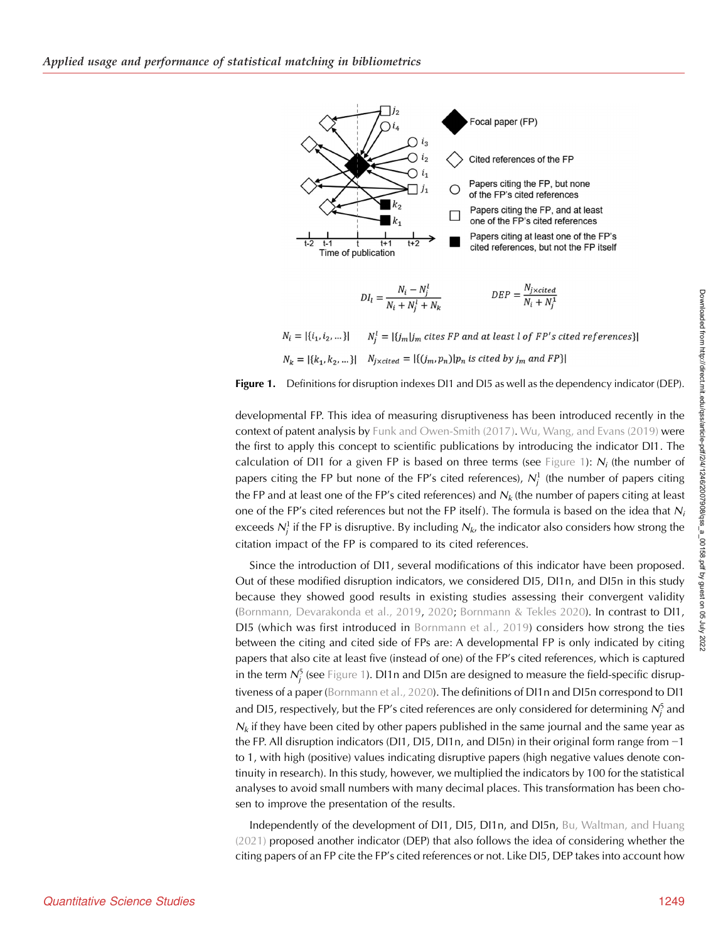<span id="page-3-0"></span>

 $N_i^l = |\{j_m | j_m \text{ cites FP and at least } l \text{ of FP's cited references}\}|$  $N_i = |\{i_1, i_2, ...\}|$  $N_k = |\{k_1, k_2, ...\}|$   $N_{j \times cited} = |\{(j_m, p_n)|p_n \text{ is cited by } j_m \text{ and } FP\}|$ 



developmental FP. This idea of measuring disruptiveness has been introduced recently in the context of patent analysis by [Funk and Owen-Smith \(2017\).](#page-23-0) [Wu, Wang, and Evans \(2019\)](#page-24-0) were the first to apply this concept to scientific publications by introducing the indicator DI1. The calculation of DI1 for a given FP is based on three terms (see Figure 1):  $N_i$  (the number of papers citing the FP but none of the FP's cited references),  $N_j^1$  (the number of papers citing the FP and at least one of the FP's cited references) and  $N_k$  (the number of papers citing at least one of the FP's cited references but not the FP itself). The formula is based on the idea that  $N_i$ exceeds  $\mathcal{N}_j^1$  if the FP is disruptive. By including  $\mathcal{N}_{k}$ , the indicator also considers how strong the citation impact of the FP is compared to its cited references.

Since the introduction of DI1, several modifications of this indicator have been proposed. Out of these modified disruption indicators, we considered DI5, DI1n, and DI5n in this study because they showed good results in existing studies assessing their convergent validity ([Bornmann, Devarakonda et al., 2019](#page-23-0), [2020](#page-23-0); [Bornmann & Tekles 2020](#page-23-0)). In contrast to DI1, DI5 (which was first introduced in [Bornmann et al., 2019](#page-23-0)) considers how strong the ties between the citing and cited side of FPs are: A developmental FP is only indicated by citing papers that also cite at least five (instead of one) of the FP's cited references, which is captured in the term  $\mathcal{N}_{j}^{5}$  (see Figure 1). D11n and DI5n are designed to measure the field-specific disrup-tiveness of a paper ([Bornmann et al., 2020](#page-23-0)). The definitions of DI1n and DI5n correspond to DI1 and D15, respectively, but the FP's cited references are only considered for determining  $\mathcal{N}_j^5$  and  $N_k$  if they have been cited by other papers published in the same journal and the same year as the FP. All disruption indicators (DI1, DI5, DI1n, and DI5n) in their original form range from −1 to 1, with high (positive) values indicating disruptive papers (high negative values denote continuity in research). In this study, however, we multiplied the indicators by 100 for the statistical analyses to avoid small numbers with many decimal places. This transformation has been chosen to improve the presentation of the results.

Independently of the development of DI1, DI5, DI1n, and DI5n, [Bu, Waltman, and Huang](#page-23-0) [\(2021\)](#page-23-0) proposed another indicator (DEP) that also follows the idea of considering whether the citing papers of an FP cite the FP's cited references or not. Like DI5, DEP takes into account how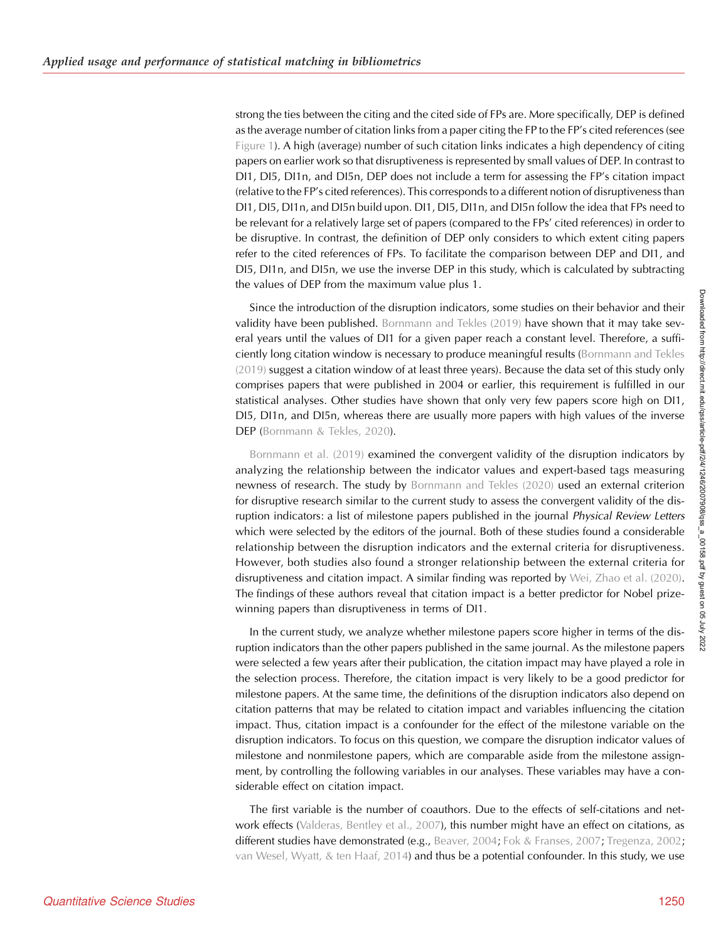strong the ties between the citing and the cited side of FPs are. More specifically, DEP is defined as the average number of citation links from a paper citing the FP to the FP's cited references (see [Figure 1\)](#page-3-0). A high (average) number of such citation links indicates a high dependency of citing papers on earlier work so that disruptiveness is represented by small values of DEP. In contrast to DI1, DI5, DI1n, and DI5n, DEP does not include a term for assessing the FP's citation impact (relative to the FP's cited references). This corresponds to a different notion of disruptiveness than DI1, DI5, DI1n, and DI5n build upon. DI1, DI5, DI1n, and DI5n follow the idea that FPs need to be relevant for a relatively large set of papers (compared to the FPs' cited references) in order to be disruptive. In contrast, the definition of DEP only considers to which extent citing papers refer to the cited references of FPs. To facilitate the comparison between DEP and DI1, and DI5, DI1n, and DI5n, we use the inverse DEP in this study, which is calculated by subtracting the values of DEP from the maximum value plus 1.

Since the introduction of the disruption indicators, some studies on their behavior and their validity have been published. [Bornmann and Tekles \(2019\)](#page-23-0) have shown that it may take several years until the values of DI1 for a given paper reach a constant level. Therefore, a sufficiently long citation window is necessary to produce meaningful results ([Bornmann and Tekles](#page-23-0) [\(2019\)](#page-23-0) suggest a citation window of at least three years). Because the data set of this study only comprises papers that were published in 2004 or earlier, this requirement is fulfilled in our statistical analyses. Other studies have shown that only very few papers score high on DI1, DI5, DI1n, and DI5n, whereas there are usually more papers with high values of the inverse DEP ([Bornmann & Tekles, 2020](#page-23-0)).

[Bornmann et al. \(2019\)](#page-23-0) examined the convergent validity of the disruption indicators by analyzing the relationship between the indicator values and expert-based tags measuring newness of research. The study by [Bornmann and Tekles \(2020\)](#page-23-0) used an external criterion for disruptive research similar to the current study to assess the convergent validity of the disruption indicators: a list of milestone papers published in the journal Physical Review Letters which were selected by the editors of the journal. Both of these studies found a considerable relationship between the disruption indicators and the external criteria for disruptiveness. However, both studies also found a stronger relationship between the external criteria for disruptiveness and citation impact. A similar finding was reported by [Wei, Zhao et al. \(2020\)](#page-24-0). The findings of these authors reveal that citation impact is a better predictor for Nobel prizewinning papers than disruptiveness in terms of DI1.

In the current study, we analyze whether milestone papers score higher in terms of the disruption indicators than the other papers published in the same journal. As the milestone papers were selected a few years after their publication, the citation impact may have played a role in the selection process. Therefore, the citation impact is very likely to be a good predictor for milestone papers. At the same time, the definitions of the disruption indicators also depend on citation patterns that may be related to citation impact and variables influencing the citation impact. Thus, citation impact is a confounder for the effect of the milestone variable on the disruption indicators. To focus on this question, we compare the disruption indicator values of milestone and nonmilestone papers, which are comparable aside from the milestone assignment, by controlling the following variables in our analyses. These variables may have a considerable effect on citation impact.

The first variable is the number of coauthors. Due to the effects of self-citations and net-work effects [\(Valderas, Bentley et al., 2007\)](#page-24-0), this number might have an effect on citations, as different studies have demonstrated (e.g., [Beaver, 2004](#page-22-0); [Fok & Franses, 2007;](#page-23-0) [Tregenza, 2002](#page-24-0); [van Wesel, Wyatt, & ten Haaf, 2014\)](#page-24-0) and thus be a potential confounder. In this study, we use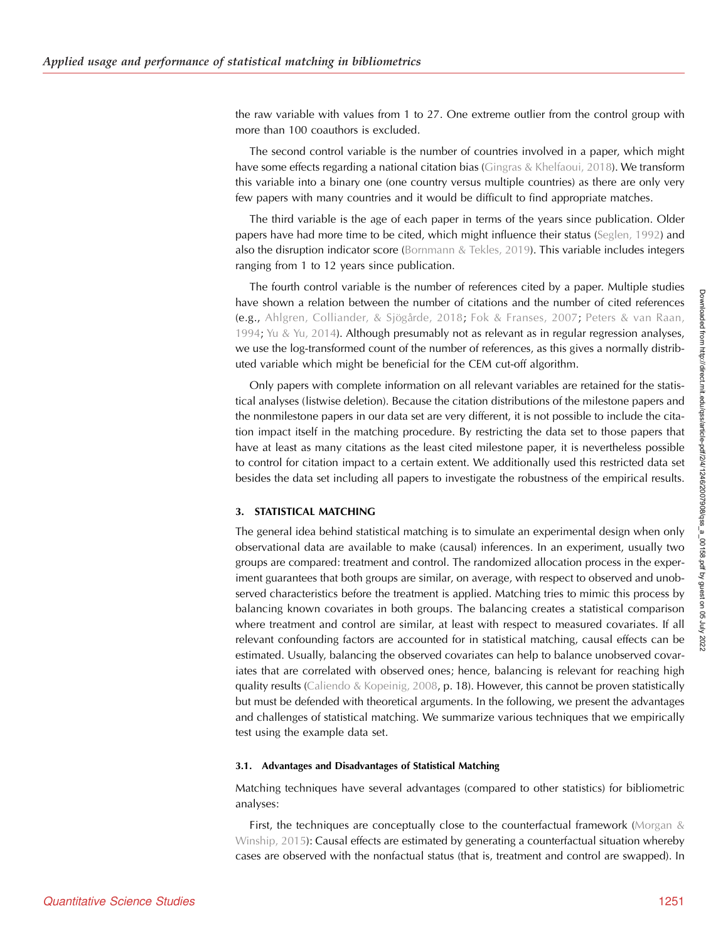the raw variable with values from 1 to 27. One extreme outlier from the control group with more than 100 coauthors is excluded.

The second control variable is the number of countries involved in a paper, which might have some effects regarding a national citation bias ([Gingras & Khelfaoui, 2018\)](#page-23-0). We transform this variable into a binary one (one country versus multiple countries) as there are only very few papers with many countries and it would be difficult to find appropriate matches.

The third variable is the age of each paper in terms of the years since publication. Older papers have had more time to be cited, which might influence their status ([Seglen, 1992](#page-24-0)) and also the disruption indicator score [\(Bornmann & Tekles, 2019](#page-23-0)). This variable includes integers ranging from 1 to 12 years since publication.

The fourth control variable is the number of references cited by a paper. Multiple studies have shown a relation between the number of citations and the number of cited references (e.g., [Ahlgren, Colliander, & Sjögårde, 2018;](#page-22-0) [Fok & Franses, 2007](#page-23-0); [Peters & van Raan,](#page-24-0) [1994;](#page-24-0) [Yu & Yu, 2014](#page-24-0)). Although presumably not as relevant as in regular regression analyses, we use the log-transformed count of the number of references, as this gives a normally distributed variable which might be beneficial for the CEM cut-off algorithm.

Only papers with complete information on all relevant variables are retained for the statistical analyses (listwise deletion). Because the citation distributions of the milestone papers and the nonmilestone papers in our data set are very different, it is not possible to include the citation impact itself in the matching procedure. By restricting the data set to those papers that have at least as many citations as the least cited milestone paper, it is nevertheless possible to control for citation impact to a certain extent. We additionally used this restricted data set besides the data set including all papers to investigate the robustness of the empirical results.

# 3. STATISTICAL MATCHING

The general idea behind statistical matching is to simulate an experimental design when only observational data are available to make (causal) inferences. In an experiment, usually two groups are compared: treatment and control. The randomized allocation process in the experiment guarantees that both groups are similar, on average, with respect to observed and unobserved characteristics before the treatment is applied. Matching tries to mimic this process by balancing known covariates in both groups. The balancing creates a statistical comparison where treatment and control are similar, at least with respect to measured covariates. If all relevant confounding factors are accounted for in statistical matching, causal effects can be estimated. Usually, balancing the observed covariates can help to balance unobserved covariates that are correlated with observed ones; hence, balancing is relevant for reaching high quality results [\(Caliendo & Kopeinig, 2008](#page-23-0), p. 18). However, this cannot be proven statistically but must be defended with theoretical arguments. In the following, we present the advantages and challenges of statistical matching. We summarize various techniques that we empirically test using the example data set.

#### 3.1. Advantages and Disadvantages of Statistical Matching

Matching techniques have several advantages (compared to other statistics) for bibliometric analyses:

First, the techniques are conceptually close to the counterfactual framework ([Morgan &](#page-24-0) [Winship, 2015\)](#page-24-0): Causal effects are estimated by generating a counterfactual situation whereby cases are observed with the nonfactual status (that is, treatment and control are swapped). In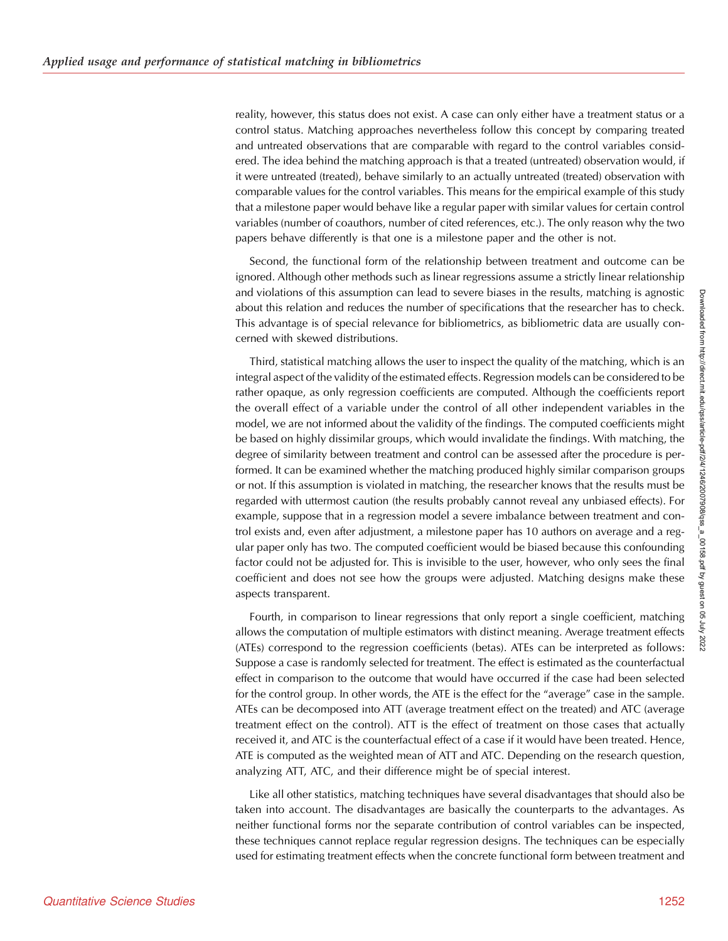reality, however, this status does not exist. A case can only either have a treatment status or a control status. Matching approaches nevertheless follow this concept by comparing treated and untreated observations that are comparable with regard to the control variables considered. The idea behind the matching approach is that a treated (untreated) observation would, if it were untreated (treated), behave similarly to an actually untreated (treated) observation with comparable values for the control variables. This means for the empirical example of this study that a milestone paper would behave like a regular paper with similar values for certain control variables (number of coauthors, number of cited references, etc.). The only reason why the two papers behave differently is that one is a milestone paper and the other is not.

Second, the functional form of the relationship between treatment and outcome can be ignored. Although other methods such as linear regressions assume a strictly linear relationship and violations of this assumption can lead to severe biases in the results, matching is agnostic about this relation and reduces the number of specifications that the researcher has to check. This advantage is of special relevance for bibliometrics, as bibliometric data are usually concerned with skewed distributions.

Third, statistical matching allows the user to inspect the quality of the matching, which is an integral aspect of the validity of the estimated effects. Regression models can be considered to be rather opaque, as only regression coefficients are computed. Although the coefficients report the overall effect of a variable under the control of all other independent variables in the model, we are not informed about the validity of the findings. The computed coefficients might be based on highly dissimilar groups, which would invalidate the findings. With matching, the degree of similarity between treatment and control can be assessed after the procedure is performed. It can be examined whether the matching produced highly similar comparison groups or not. If this assumption is violated in matching, the researcher knows that the results must be regarded with uttermost caution (the results probably cannot reveal any unbiased effects). For example, suppose that in a regression model a severe imbalance between treatment and control exists and, even after adjustment, a milestone paper has 10 authors on average and a regular paper only has two. The computed coefficient would be biased because this confounding factor could not be adjusted for. This is invisible to the user, however, who only sees the final coefficient and does not see how the groups were adjusted. Matching designs make these aspects transparent.

Fourth, in comparison to linear regressions that only report a single coefficient, matching allows the computation of multiple estimators with distinct meaning. Average treatment effects (ATEs) correspond to the regression coefficients (betas). ATEs can be interpreted as follows: Suppose a case is randomly selected for treatment. The effect is estimated as the counterfactual effect in comparison to the outcome that would have occurred if the case had been selected for the control group. In other words, the ATE is the effect for the "average" case in the sample. ATEs can be decomposed into ATT (average treatment effect on the treated) and ATC (average treatment effect on the control). ATT is the effect of treatment on those cases that actually received it, and ATC is the counterfactual effect of a case if it would have been treated. Hence, ATE is computed as the weighted mean of ATT and ATC. Depending on the research question, analyzing ATT, ATC, and their difference might be of special interest.

Like all other statistics, matching techniques have several disadvantages that should also be taken into account. The disadvantages are basically the counterparts to the advantages. As neither functional forms nor the separate contribution of control variables can be inspected, these techniques cannot replace regular regression designs. The techniques can be especially used for estimating treatment effects when the concrete functional form between treatment and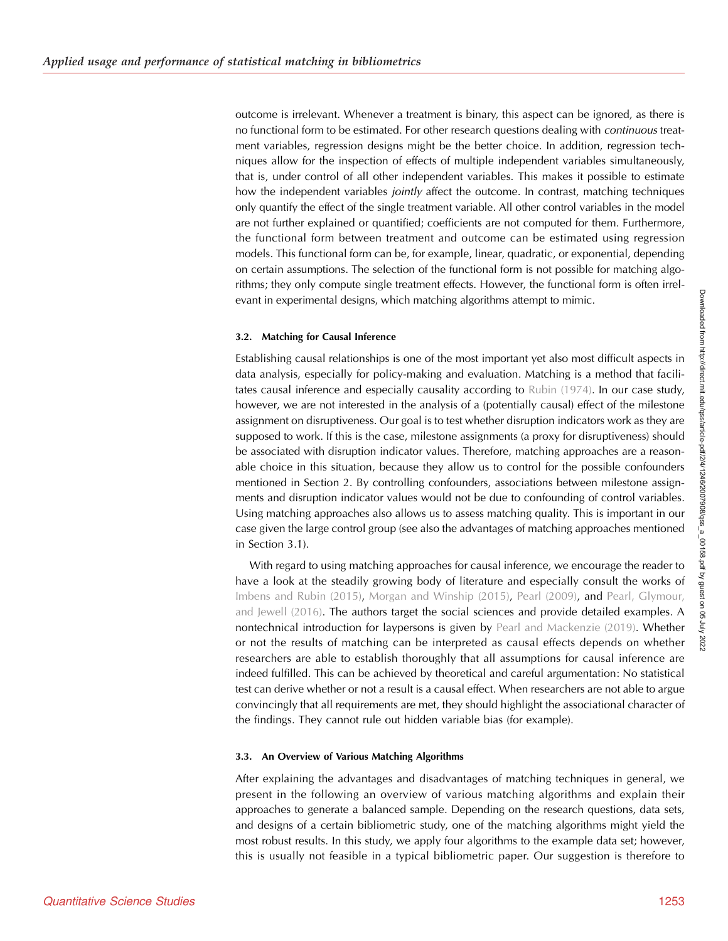outcome is irrelevant. Whenever a treatment is binary, this aspect can be ignored, as there is no functional form to be estimated. For other research questions dealing with *continuous* treatment variables, regression designs might be the better choice. In addition, regression techniques allow for the inspection of effects of multiple independent variables simultaneously, that is, under control of all other independent variables. This makes it possible to estimate how the independent variables *jointly* affect the outcome. In contrast, matching techniques only quantify the effect of the single treatment variable. All other control variables in the model are not further explained or quantified; coefficients are not computed for them. Furthermore, the functional form between treatment and outcome can be estimated using regression models. This functional form can be, for example, linear, quadratic, or exponential, depending on certain assumptions. The selection of the functional form is not possible for matching algorithms; they only compute single treatment effects. However, the functional form is often irrelevant in experimental designs, which matching algorithms attempt to mimic.

#### 3.2. Matching for Causal Inference

Establishing causal relationships is one of the most important yet also most difficult aspects in data analysis, especially for policy-making and evaluation. Matching is a method that facilitates causal inference and especially causality according to [Rubin \(1974\).](#page-24-0) In our case study, however, we are not interested in the analysis of a (potentially causal) effect of the milestone assignment on disruptiveness. Our goal is to test whether disruption indicators work as they are supposed to work. If this is the case, milestone assignments (a proxy for disruptiveness) should be associated with disruption indicator values. Therefore, matching approaches are a reasonable choice in this situation, because they allow us to control for the possible confounders mentioned in Section 2. By controlling confounders, associations between milestone assignments and disruption indicator values would not be due to confounding of control variables. Using matching approaches also allows us to assess matching quality. This is important in our case given the large control group (see also the advantages of matching approaches mentioned in Section 3.1).

With regard to using matching approaches for causal inference, we encourage the reader to have a look at the steadily growing body of literature and especially consult the works of [Imbens and Rubin \(2015\)](#page-23-0), [Morgan and Winship \(2015\),](#page-24-0) [Pearl \(2009\)](#page-24-0), and [Pearl, Glymour,](#page-24-0) [and Jewell \(2016\)](#page-24-0). The authors target the social sciences and provide detailed examples. A nontechnical introduction for laypersons is given by [Pearl and Mackenzie \(2019\).](#page-24-0) Whether or not the results of matching can be interpreted as causal effects depends on whether researchers are able to establish thoroughly that all assumptions for causal inference are indeed fulfilled. This can be achieved by theoretical and careful argumentation: No statistical test can derive whether or not a result is a causal effect. When researchers are not able to argue convincingly that all requirements are met, they should highlight the associational character of the findings. They cannot rule out hidden variable bias (for example).

#### 3.3. An Overview of Various Matching Algorithms

After explaining the advantages and disadvantages of matching techniques in general, we present in the following an overview of various matching algorithms and explain their approaches to generate a balanced sample. Depending on the research questions, data sets, and designs of a certain bibliometric study, one of the matching algorithms might yield the most robust results. In this study, we apply four algorithms to the example data set; however, this is usually not feasible in a typical bibliometric paper. Our suggestion is therefore to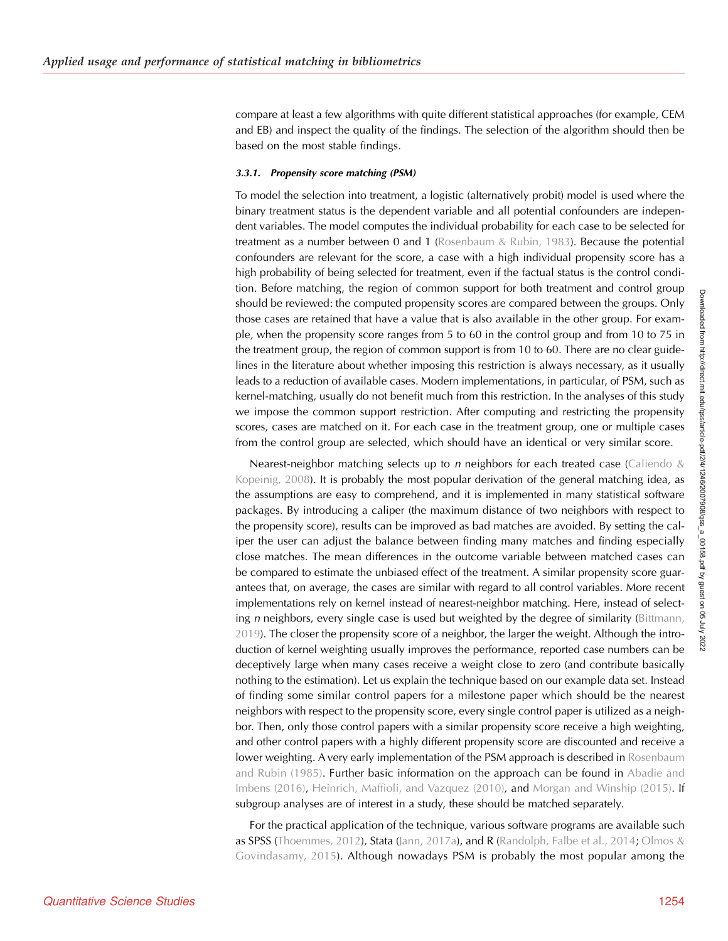compare at least a few algorithms with quite different statistical approaches (for example, CEM and EB) and inspect the quality of the findings. The selection of the algorithm should then be based on the most stable findings.

#### 3.3.1. Propensity score matching (PSM)

To model the selection into treatment, a logistic (alternatively probit) model is used where the binary treatment status is the dependent variable and all potential confounders are independent variables. The model computes the individual probability for each case to be selected for treatment as a number between 0 and 1 ([Rosenbaum & Rubin, 1983\)](#page-24-0). Because the potential confounders are relevant for the score, a case with a high individual propensity score has a high probability of being selected for treatment, even if the factual status is the control condition. Before matching, the region of common support for both treatment and control group should be reviewed: the computed propensity scores are compared between the groups. Only those cases are retained that have a value that is also available in the other group. For example, when the propensity score ranges from 5 to 60 in the control group and from 10 to 75 in the treatment group, the region of common support is from 10 to 60. There are no clear guidelines in the literature about whether imposing this restriction is always necessary, as it usually leads to a reduction of available cases. Modern implementations, in particular, of PSM, such as kernel-matching, usually do not benefit much from this restriction. In the analyses of this study we impose the common support restriction. After computing and restricting the propensity scores, cases are matched on it. For each case in the treatment group, one or multiple cases from the control group are selected, which should have an identical or very similar score.

Nearest-neighbor matching selects up to *n* neighbors for each treated case ([Caliendo &](#page-23-0) [Kopeinig, 2008\)](#page-23-0). It is probably the most popular derivation of the general matching idea, as the assumptions are easy to comprehend, and it is implemented in many statistical software packages. By introducing a caliper (the maximum distance of two neighbors with respect to the propensity score), results can be improved as bad matches are avoided. By setting the caliper the user can adjust the balance between finding many matches and finding especially close matches. The mean differences in the outcome variable between matched cases can be compared to estimate the unbiased effect of the treatment. A similar propensity score guarantees that, on average, the cases are similar with regard to all control variables. More recent implementations rely on kernel instead of nearest-neighbor matching. Here, instead of selecting *n* neighbors, every single case is used but weighted by the degree of similarity [\(Bittmann,](#page-22-0) [2019\)](#page-22-0). The closer the propensity score of a neighbor, the larger the weight. Although the introduction of kernel weighting usually improves the performance, reported case numbers can be deceptively large when many cases receive a weight close to zero (and contribute basically nothing to the estimation). Let us explain the technique based on our example data set. Instead of finding some similar control papers for a milestone paper which should be the nearest neighbors with respect to the propensity score, every single control paper is utilized as a neighbor. Then, only those control papers with a similar propensity score receive a high weighting, and other control papers with a highly different propensity score are discounted and receive a lower weighting. A very early implementation of the PSM approach is described in [Rosenbaum](#page-24-0) [and Rubin \(1985\)](#page-24-0). Further basic information on the approach can be found in [Abadie and](#page-22-0) [Imbens \(2016\),](#page-22-0) [Heinrich, Maffioli, and Vazquez \(2010\)](#page-23-0), and [Morgan and Winship \(2015\)](#page-24-0). If subgroup analyses are of interest in a study, these should be matched separately.

For the practical application of the technique, various software programs are available such as SPSS [\(Thoemmes, 2012\)](#page-24-0), Stata ([Jann, 2017a](#page-23-0)), and R [\(Randolph, Falbe et al., 2014;](#page-24-0) [Olmos &](#page-24-0) [Govindasamy, 2015](#page-24-0)). Although nowadays PSM is probably the most popular among the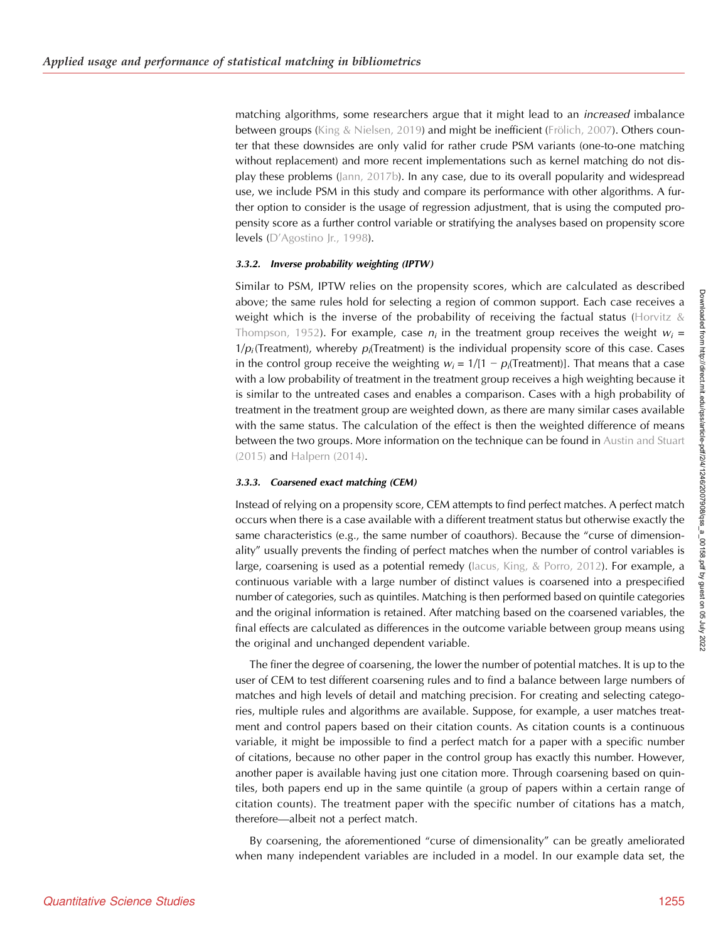matching algorithms, some researchers argue that it might lead to an *increased* imbalance between groups ([King & Nielsen, 2019\)](#page-24-0) and might be inefficient [\(Frölich, 2007](#page-23-0)). Others counter that these downsides are only valid for rather crude PSM variants (one-to-one matching without replacement) and more recent implementations such as kernel matching do not display these problems [\(Jann, 2017b\)](#page-23-0). In any case, due to its overall popularity and widespread use, we include PSM in this study and compare its performance with other algorithms. A further option to consider is the usage of regression adjustment, that is using the computed propensity score as a further control variable or stratifying the analyses based on propensity score levels (D'[Agostino Jr., 1998\)](#page-23-0).

#### 3.3.2. Inverse probability weighting (IPTW)

Similar to PSM, IPTW relies on the propensity scores, which are calculated as described above; the same rules hold for selecting a region of common support. Each case receives a weight which is the inverse of the probability of receiving the factual status (Horvitz  $\&$ [Thompson, 1952](#page-23-0)). For example, case  $n_i$  in the treatment group receives the weight  $w_i =$  $1/p_i$  (Treatment), whereby  $p_i$  (Treatment) is the individual propensity score of this case. Cases in the control group receive the weighting  $w_i = 1/[1 - p_i(\text{Treatment})]$ . That means that a case with a low probability of treatment in the treatment group receives a high weighting because it is similar to the untreated cases and enables a comparison. Cases with a high probability of treatment in the treatment group are weighted down, as there are many similar cases available with the same status. The calculation of the effect is then the weighted difference of means between the two groups. More information on the technique can be found in [Austin and Stuart](#page-22-0) [\(2015\)](#page-22-0) and [Halpern \(2014\).](#page-23-0)

#### 3.3.3. Coarsened exact matching (CEM)

Instead of relying on a propensity score, CEM attempts to find perfect matches. A perfect match occurs when there is a case available with a different treatment status but otherwise exactly the same characteristics (e.g., the same number of coauthors). Because the "curse of dimensionality" usually prevents the finding of perfect matches when the number of control variables is large, coarsening is used as a potential remedy (lacus, King, & Porro, 2012). For example, a continuous variable with a large number of distinct values is coarsened into a prespecified number of categories, such as quintiles. Matching is then performed based on quintile categories and the original information is retained. After matching based on the coarsened variables, the final effects are calculated as differences in the outcome variable between group means using the original and unchanged dependent variable.

The finer the degree of coarsening, the lower the number of potential matches. It is up to the user of CEM to test different coarsening rules and to find a balance between large numbers of matches and high levels of detail and matching precision. For creating and selecting categories, multiple rules and algorithms are available. Suppose, for example, a user matches treatment and control papers based on their citation counts. As citation counts is a continuous variable, it might be impossible to find a perfect match for a paper with a specific number of citations, because no other paper in the control group has exactly this number. However, another paper is available having just one citation more. Through coarsening based on quintiles, both papers end up in the same quintile (a group of papers within a certain range of citation counts). The treatment paper with the specific number of citations has a match, therefore—albeit not a perfect match.

By coarsening, the aforementioned "curse of dimensionality" can be greatly ameliorated when many independent variables are included in a model. In our example data set, the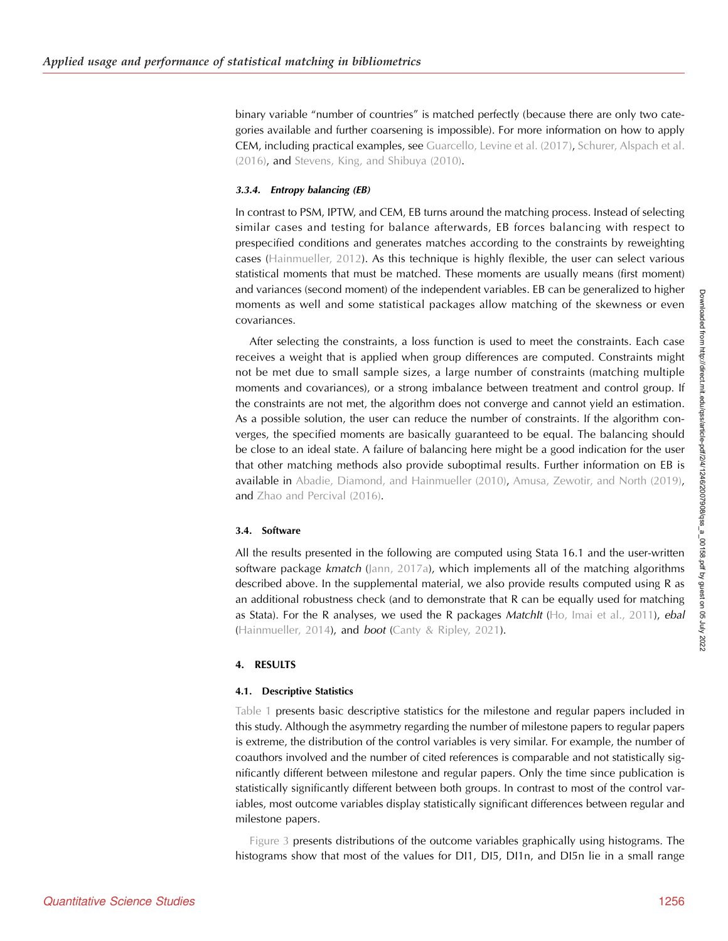binary variable "number of countries" is matched perfectly (because there are only two categories available and further coarsening is impossible). For more information on how to apply CEM, including practical examples, see [Guarcello, Levine et al. \(2017\)](#page-23-0), [Schurer, Alspach et al.](#page-24-0) [\(2016\)](#page-24-0), and [Stevens, King, and Shibuya \(2010\)](#page-24-0).

#### 3.3.4. Entropy balancing (EB)

In contrast to PSM, IPTW, and CEM, EB turns around the matching process. Instead of selecting similar cases and testing for balance afterwards, EB forces balancing with respect to prespecified conditions and generates matches according to the constraints by reweighting cases ([Hainmueller, 2012](#page-23-0)). As this technique is highly flexible, the user can select various statistical moments that must be matched. These moments are usually means (first moment) and variances (second moment) of the independent variables. EB can be generalized to higher moments as well and some statistical packages allow matching of the skewness or even covariances.

After selecting the constraints, a loss function is used to meet the constraints. Each case receives a weight that is applied when group differences are computed. Constraints might not be met due to small sample sizes, a large number of constraints (matching multiple moments and covariances), or a strong imbalance between treatment and control group. If the constraints are not met, the algorithm does not converge and cannot yield an estimation. As a possible solution, the user can reduce the number of constraints. If the algorithm converges, the specified moments are basically guaranteed to be equal. The balancing should be close to an ideal state. A failure of balancing here might be a good indication for the user that other matching methods also provide suboptimal results. Further information on EB is available in [Abadie, Diamond, and Hainmueller \(2010\),](#page-22-0) [Amusa, Zewotir, and North \(2019\)](#page-22-0), and [Zhao and Percival \(2016\)](#page-24-0).

#### 3.4. Software

All the results presented in the following are computed using Stata 16.1 and the user-written software package kmatch [\(Jann, 2017a\)](#page-23-0), which implements all of the matching algorithms described above. In the supplemental material, we also provide results computed using R as an additional robustness check (and to demonstrate that R can be equally used for matching as Stata). For the R analyses, we used the R packages MatchIt  $(Ho, Imai et al., 2011)$  $(Ho, Imai et al., 2011)$ , ebal ([Hainmueller, 2014](#page-23-0)), and boot ([Canty & Ripley, 2021\)](#page-23-0).

#### 4. RESULTS

#### 4.1. Descriptive Statistics

[Table 1](#page-11-0) presents basic descriptive statistics for the milestone and regular papers included in this study. Although the asymmetry regarding the number of milestone papers to regular papers is extreme, the distribution of the control variables is very similar. For example, the number of coauthors involved and the number of cited references is comparable and not statistically significantly different between milestone and regular papers. Only the time since publication is statistically significantly different between both groups. In contrast to most of the control variables, most outcome variables display statistically significant differences between regular and milestone papers.

[Figure 3](#page-13-0) presents distributions of the outcome variables graphically using histograms. The histograms show that most of the values for DI1, DI5, DI1n, and DI5n lie in a small range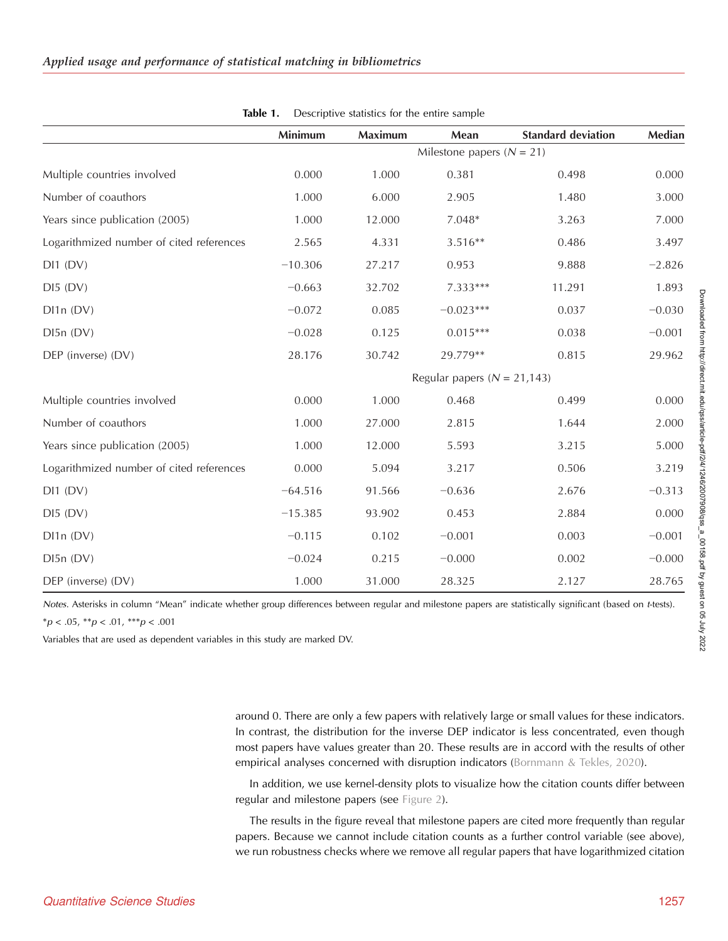<span id="page-11-0"></span>

|                                                           | Minimum                       | <b>Maximum</b> | Mean                            | <b>Standard deviation</b> | Median   |
|-----------------------------------------------------------|-------------------------------|----------------|---------------------------------|---------------------------|----------|
|                                                           | Milestone papers ( $N = 21$ ) |                |                                 |                           |          |
| Multiple countries involved                               | 0.000                         | 1.000          | 0.381                           | 0.498                     | 0.000    |
| Number of coauthors                                       | 1.000                         | 6.000          | 2.905                           | 1.480                     | 3.000    |
| Years since publication (2005)                            | 1.000                         | 12.000         | $7.048*$                        | 3.263                     | 7.000    |
| Logarithmized number of cited references                  | 2.565                         | 4.331          | $3.516**$                       | 0.486                     | 3.497    |
| DI1(DV)                                                   | $-10.306$                     | 27.217         | 0.953                           | 9.888                     | $-2.826$ |
| DI5(DV)                                                   | $-0.663$                      | 32.702         | 7.333***                        | 11.291                    | 1.893    |
| DI1n (DV)                                                 | $-0.072$                      | 0.085          | $-0.023***$                     | 0.037                     | $-0.030$ |
| DI5n (DV)                                                 | $-0.028$                      | 0.125          | $0.015***$                      | 0.038                     | $-0.001$ |
| DEP (inverse) (DV)                                        | 28.176                        | 30.742         | 29.779**                        | 0.815                     | 29.962   |
|                                                           |                               |                | Regular papers ( $N = 21,143$ ) |                           |          |
| Multiple countries involved                               | 0.000                         | 1.000          | 0.468                           | 0.499                     | 0.000    |
| Number of coauthors                                       | 1.000                         | 27.000         | 2.815                           | 1.644                     | 2.000    |
| Years since publication (2005)                            | 1.000                         | 12.000         | 5.593                           | 3.215                     | 5.000    |
| Logarithmized number of cited references                  | 0.000                         | 5.094          | 3.217                           | 0.506                     | 3.219    |
| DI1(DV)                                                   | $-64.516$                     | 91.566         | $-0.636$                        | 2.676                     | $-0.313$ |
| DI5(DV)                                                   | $-15.385$                     | 93.902         | 0.453                           | 2.884                     | 0.000    |
| D11n (DV)                                                 | $-0.115$                      | 0.102          | $-0.001$                        | 0.003                     | $-0.001$ |
| $D\hspace{-.1em}\rule{0.7pt}{1.1em}\hspace{1.5em}5n$ (DV) | $-0.024$                      | 0.215          | $-0.000$                        | 0.002                     | $-0.000$ |
| DEP (inverse) (DV)                                        | 1.000                         | 31.000         | 28.325                          | 2.127                     | 28.765   |

Table 1. Descriptive statistics for the entire sample

Notes. Asterisks in column "Mean" indicate whether group differences between regular and milestone papers are statistically significant (based on t-tests).

 $*p < .05, **p < .01, **p < .001$ 

Variables that are used as dependent variables in this study are marked DV.

around 0. There are only a few papers with relatively large or small values for these indicators. In contrast, the distribution for the inverse DEP indicator is less concentrated, even though most papers have values greater than 20. These results are in accord with the results of other empirical analyses concerned with disruption indicators [\(Bornmann & Tekles, 2020](#page-23-0)).

In addition, we use kernel-density plots to visualize how the citation counts differ between regular and milestone papers (see [Figure 2\)](#page-12-0).

The results in the figure reveal that milestone papers are cited more frequently than regular papers. Because we cannot include citation counts as a further control variable (see above), we run robustness checks where we remove all regular papers that have logarithmized citation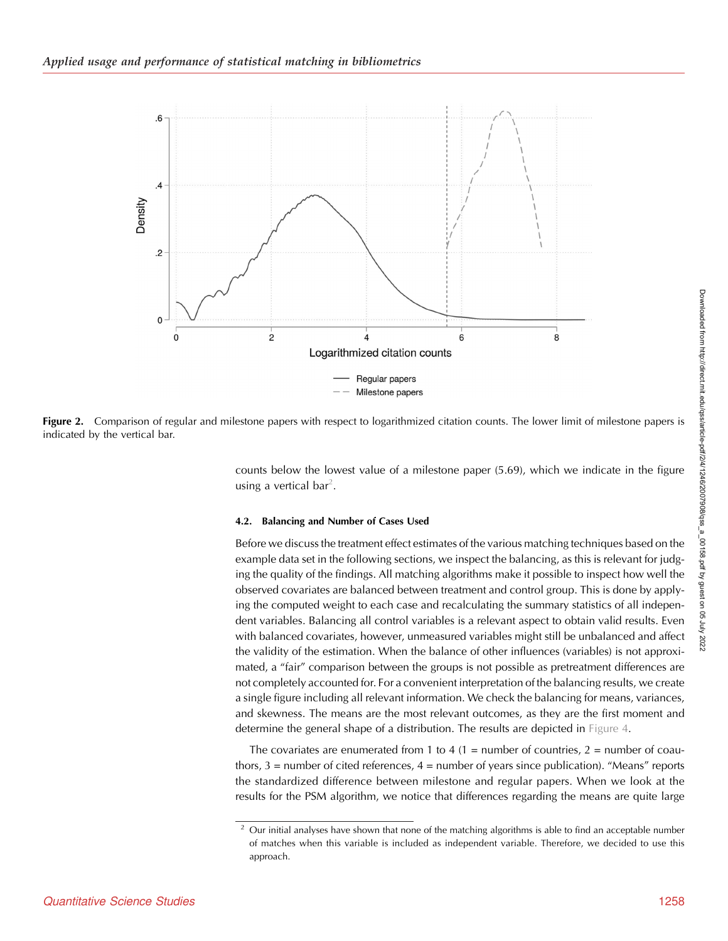<span id="page-12-0"></span>

Figure 2. Comparison of regular and milestone papers with respect to logarithmized citation counts. The lower limit of milestone papers is indicated by the vertical bar.

counts below the lowest value of a milestone paper (5.69), which we indicate in the figure using a vertical bar<sup>2</sup>.

#### 4.2. Balancing and Number of Cases Used

Before we discuss the treatment effect estimates of the various matching techniques based on the example data set in the following sections, we inspect the balancing, as this is relevant for judging the quality of the findings. All matching algorithms make it possible to inspect how well the observed covariates are balanced between treatment and control group. This is done by applying the computed weight to each case and recalculating the summary statistics of all independent variables. Balancing all control variables is a relevant aspect to obtain valid results. Even with balanced covariates, however, unmeasured variables might still be unbalanced and affect the validity of the estimation. When the balance of other influences (variables) is not approximated, a "fair" comparison between the groups is not possible as pretreatment differences are not completely accounted for. For a convenient interpretation of the balancing results, we create a single figure including all relevant information. We check the balancing for means, variances, and skewness. The means are the most relevant outcomes, as they are the first moment and determine the general shape of a distribution. The results are depicted in [Figure 4](#page-14-0).

The covariates are enumerated from 1 to 4  $(1 =$  number of countries,  $2 =$  number of coauthors, 3 = number of cited references, 4 = number of years since publication). "Means" reports the standardized difference between milestone and regular papers. When we look at the results for the PSM algorithm, we notice that differences regarding the means are quite large

<sup>2</sup> Our initial analyses have shown that none of the matching algorithms is able to find an acceptable number of matches when this variable is included as independent variable. Therefore, we decided to use this approach.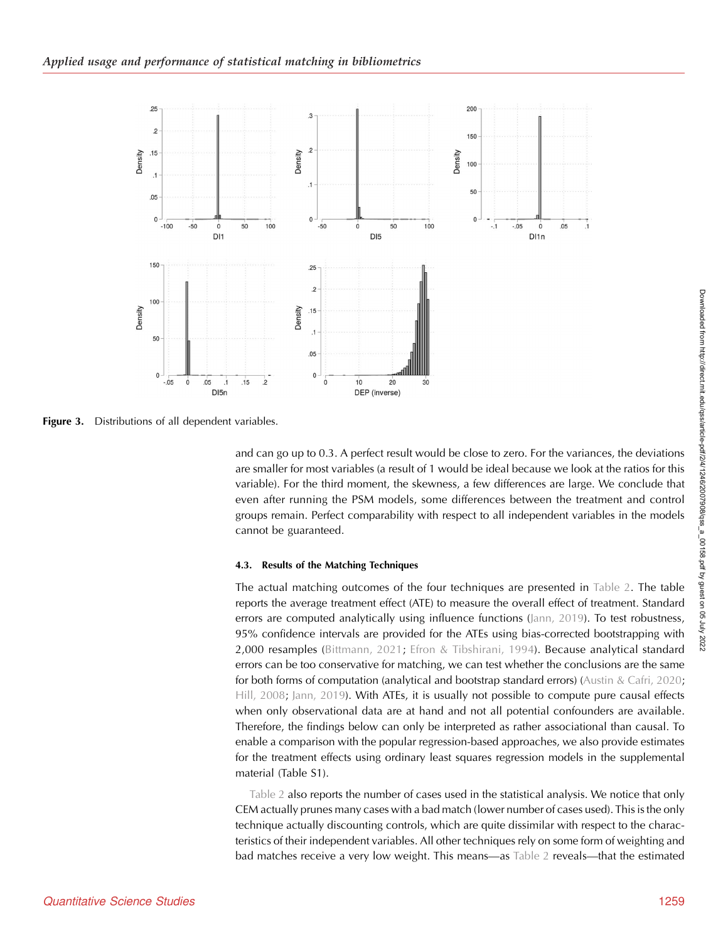<span id="page-13-0"></span>

Figure 3. Distributions of all dependent variables.

and can go up to 0.3. A perfect result would be close to zero. For the variances, the deviations are smaller for most variables (a result of 1 would be ideal because we look at the ratios for this variable). For the third moment, the skewness, a few differences are large. We conclude that even after running the PSM models, some differences between the treatment and control groups remain. Perfect comparability with respect to all independent variables in the models cannot be guaranteed.

#### 4.3. Results of the Matching Techniques

The actual matching outcomes of the four techniques are presented in [Table 2](#page-15-0). The table reports the average treatment effect (ATE) to measure the overall effect of treatment. Standard errors are computed analytically using influence functions [\(Jann, 2019](#page-23-0)). To test robustness, 95% confidence intervals are provided for the ATEs using bias-corrected bootstrapping with 2,000 resamples [\(Bittmann, 2021;](#page-22-0) [Efron & Tibshirani, 1994](#page-23-0)). Because analytical standard errors can be too conservative for matching, we can test whether the conclusions are the same for both forms of computation (analytical and bootstrap standard errors) ([Austin & Cafri, 2020](#page-22-0); [Hill, 2008;](#page-23-0) [Jann, 2019](#page-23-0)). With ATEs, it is usually not possible to compute pure causal effects when only observational data are at hand and not all potential confounders are available. Therefore, the findings below can only be interpreted as rather associational than causal. To enable a comparison with the popular regression-based approaches, we also provide estimates for the treatment effects using ordinary least squares regression models in the supplemental material (Table S1).

[Table 2](#page-15-0) also reports the number of cases used in the statistical analysis. We notice that only CEM actually prunes many cases with a bad match (lower number of cases used). This is the only technique actually discounting controls, which are quite dissimilar with respect to the characteristics of their independent variables. All other techniques rely on some form of weighting and bad matches receive a very low weight. This means—as [Table 2](#page-15-0) reveals—that the estimated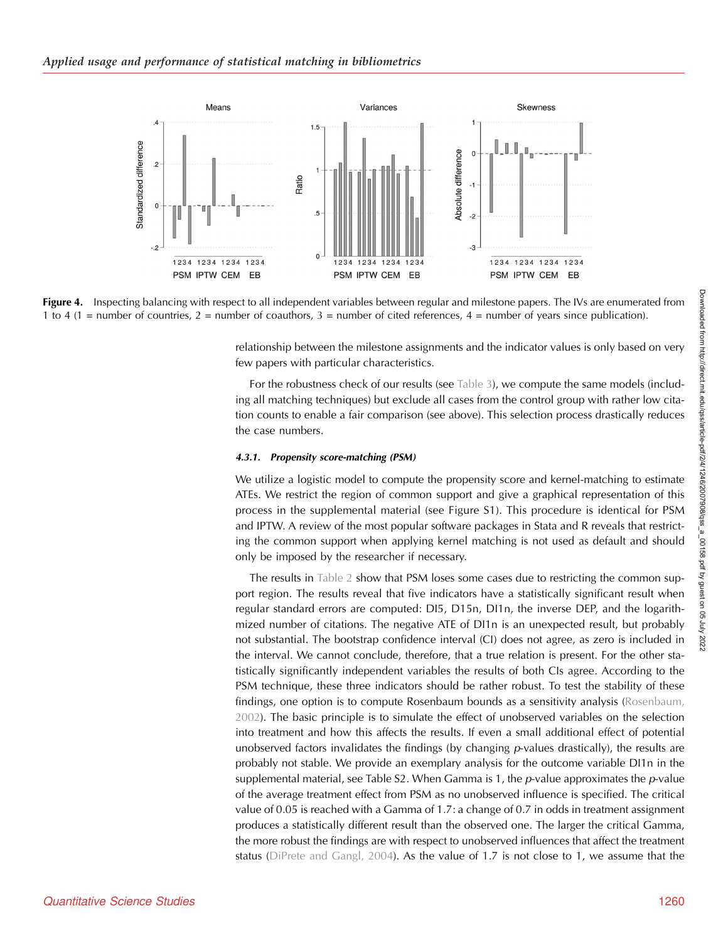<span id="page-14-0"></span>

Figure 4. Inspecting balancing with respect to all independent variables between regular and milestone papers. The IVs are enumerated from 1 to 4 (1 = number of countries, 2 = number of coauthors, 3 = number of cited references, 4 = number of years since publication).

relationship between the milestone assignments and the indicator values is only based on very few papers with particular characteristics.

For the robustness check of our results (see [Table 3](#page-17-0)), we compute the same models (including all matching techniques) but exclude all cases from the control group with rather low citation counts to enable a fair comparison (see above). This selection process drastically reduces the case numbers.

#### 4.3.1. Propensity score-matching (PSM)

We utilize a logistic model to compute the propensity score and kernel-matching to estimate ATEs. We restrict the region of common support and give a graphical representation of this process in the supplemental material (see Figure S1). This procedure is identical for PSM and IPTW. A review of the most popular software packages in Stata and R reveals that restricting the common support when applying kernel matching is not used as default and should only be imposed by the researcher if necessary.

The results in [Table 2](#page-15-0) show that PSM loses some cases due to restricting the common support region. The results reveal that five indicators have a statistically significant result when regular standard errors are computed: DI5, D15n, DI1n, the inverse DEP, and the logarithmized number of citations. The negative ATE of DI1n is an unexpected result, but probably not substantial. The bootstrap confidence interval (CI) does not agree, as zero is included in the interval. We cannot conclude, therefore, that a true relation is present. For the other statistically significantly independent variables the results of both CIs agree. According to the PSM technique, these three indicators should be rather robust. To test the stability of these findings, one option is to compute Rosenbaum bounds as a sensitivity analysis ([Rosenbaum,](#page-24-0) [2002\)](#page-24-0). The basic principle is to simulate the effect of unobserved variables on the selection into treatment and how this affects the results. If even a small additional effect of potential unobserved factors invalidates the findings (by changing  $p$ -values drastically), the results are probably not stable. We provide an exemplary analysis for the outcome variable DI1n in the supplemental material, see Table S2. When Gamma is 1, the  $p$ -value approximates the  $p$ -value of the average treatment effect from PSM as no unobserved influence is specified. The critical value of 0.05 is reached with a Gamma of 1.7: a change of 0.7 in odds in treatment assignment produces a statistically different result than the observed one. The larger the critical Gamma, the more robust the findings are with respect to unobserved influences that affect the treatment status ([DiPrete and Gangl, 2004\)](#page-23-0). As the value of 1.7 is not close to 1, we assume that the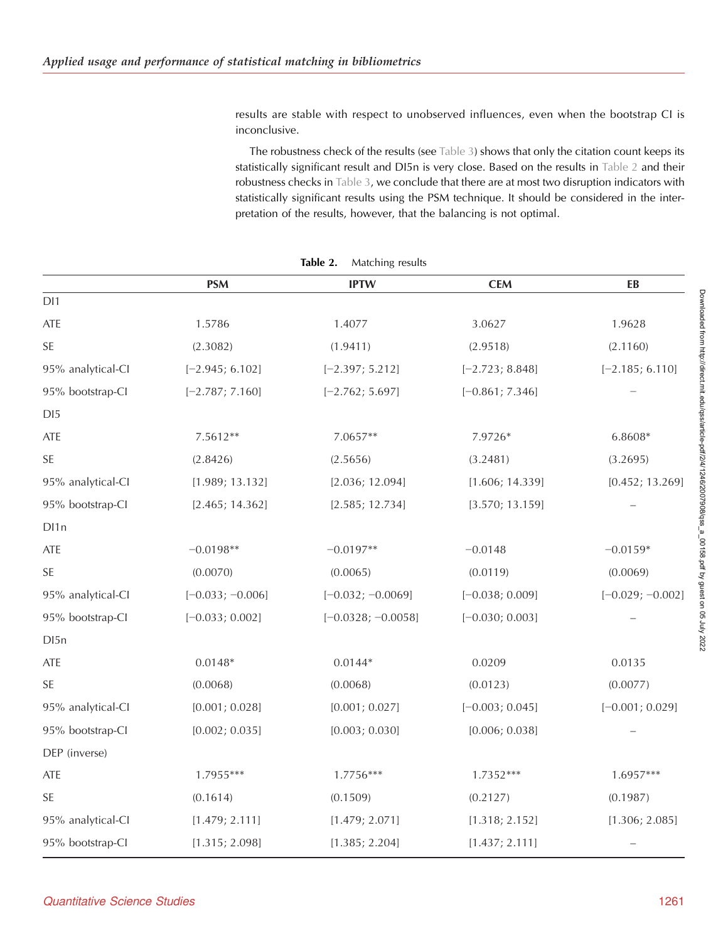<span id="page-15-0"></span>results are stable with respect to unobserved influences, even when the bootstrap CI is inconclusive.

The robustness check of the results (see [Table 3](#page-17-0)) shows that only the citation count keeps its statistically significant result and DI5n is very close. Based on the results in Table 2 and their robustness checks in [Table 3,](#page-17-0) we conclude that there are at most two disruption indicators with statistically significant results using the PSM technique. It should be considered in the interpretation of the results, however, that the balancing is not optimal.

|                   | <b>PSM</b>         | <b>IPTW</b>          | <b>CEM</b>        | EB                 |
|-------------------|--------------------|----------------------|-------------------|--------------------|
| DI1               |                    |                      |                   |                    |
| ATE               | 1.5786             | 1.4077               | 3.0627            | 1.9628             |
| SE                | (2.3082)           | (1.9411)             | (2.9518)          | (2.1160)           |
| 95% analytical-CI | $[-2.945; 6.102]$  | $[-2.397; 5.212]$    | $[-2.723; 8.848]$ | $[-2.185; 6.110]$  |
| 95% bootstrap-Cl  | $[-2.787; 7.160]$  | $[-2.762; 5.697]$    | $[-0.861; 7.346]$ |                    |
| DI5               |                    |                      |                   |                    |
| ATE               | 7.5612**           | 7.0657**             | 7.9726*           | 6.8608*            |
| <b>SE</b>         | (2.8426)           | (2.5656)             | (3.2481)          | (3.2695)           |
| 95% analytical-CI | [1.989; 13.132]    | [2.036; 12.094]      | [1.606; 14.339]   | [0.452; 13.269]    |
| 95% bootstrap-Cl  | [2.465; 14.362]    | [2.585; 12.734]      | [3.570; 13.159]   |                    |
| DI1 <sub>n</sub>  |                    |                      |                   |                    |
| ATE               | $-0.0198**$        | $-0.0197**$          | $-0.0148$         | $-0.0159*$         |
| <b>SE</b>         | (0.0070)           | (0.0065)             | (0.0119)          | (0.0069)           |
| 95% analytical-CI | $[-0.033; -0.006]$ | $[-0.032; -0.0069]$  | $[-0.038; 0.009]$ | $[-0.029; -0.002]$ |
| 95% bootstrap-Cl  | $[-0.033; 0.002]$  | $[-0.0328; -0.0058]$ | $[-0.030; 0.003]$ |                    |
| D <sub>15</sub> n |                    |                      |                   |                    |
| ATE               | $0.0148*$          | $0.0144*$            | 0.0209            | 0.0135             |
| <b>SE</b>         | (0.0068)           | (0.0068)             | (0.0123)          | (0.0077)           |
| 95% analytical-CI | [0.001; 0.028]     | [0.001; 0.027]       | $[-0.003; 0.045]$ | $[-0.001; 0.029]$  |
| 95% bootstrap-Cl  | [0.002; 0.035]     | [0.003; 0.030]       | [0.006; 0.038]    |                    |
| DEP (inverse)     |                    |                      |                   |                    |
| ATE               | 1.7955***          | 1.7756***            | 1.7352***         | 1.6957***          |
| SE                | (0.1614)           | (0.1509)             | (0.2127)          | (0.1987)           |
| 95% analytical-CI | [1.479; 2.111]     | [1.479; 2.071]       | [1.318; 2.152]    | [1.306; 2.085]     |
| 95% bootstrap-Cl  | [1.315; 2.098]     | [1.385; 2.204]       | [1.437; 2.111]    |                    |

Table 2. Matching results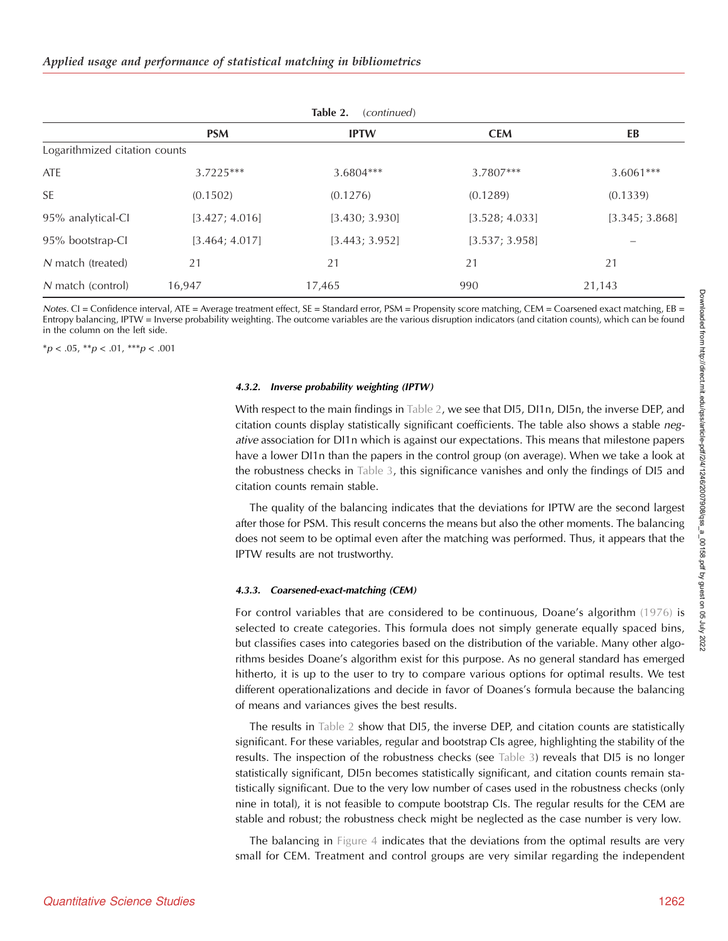| Table 2.<br>(continued)       |                |                |                |                |
|-------------------------------|----------------|----------------|----------------|----------------|
|                               | <b>PSM</b>     | <b>IPTW</b>    | <b>CEM</b>     | EB             |
| Logarithmized citation counts |                |                |                |                |
| ATE                           | $3.7225***$    | 3.6804***      | 3.7807***      | $3.6061***$    |
| <b>SE</b>                     | (0.1502)       | (0.1276)       | (0.1289)       | (0.1339)       |
| 95% analytical-CI             | [3.427; 4.016] | [3.430; 3.930] | [3.528; 4.033] | [3.345; 3.868] |
| 95% bootstrap-CI              | [3.464; 4.017] | [3.443; 3.952] | [3.537; 3.958] |                |
| N match (treated)             | 21             | 21             | 21             | 21             |
| N match (control)             | 16,947         | 17,465         | 990            | 21,143         |

Notes. CI = Confidence interval, ATE = Average treatment effect, SE = Standard error, PSM = Propensity score matching, CEM = Coarsened exact matching, EB = Entropy balancing, IPTW = Inverse probability weighting. The outcome variables are the various disruption indicators (and citation counts), which can be found in the column on the left side.

 ${}^*p$  < .05,  ${}^*p$  < .01,  ${}^*{}^*p$  < .001

#### 4.3.2. Inverse probability weighting (IPTW)

With respect to the main findings in [Table 2,](#page-15-0) we see that DI5, DI1n, DI5n, the inverse DEP, and citation counts display statistically significant coefficients. The table also shows a stable negative association for DI1n which is against our expectations. This means that milestone papers have a lower DI1n than the papers in the control group (on average). When we take a look at the robustness checks in [Table 3,](#page-17-0) this significance vanishes and only the findings of DI5 and citation counts remain stable.

The quality of the balancing indicates that the deviations for IPTW are the second largest after those for PSM. This result concerns the means but also the other moments. The balancing does not seem to be optimal even after the matching was performed. Thus, it appears that the IPTW results are not trustworthy.

#### 4.3.3. Coarsened-exact-matching (CEM)

For control variables that are considered to be continuous, Doane's algorithm [\(1976\)](#page-23-0) is selected to create categories. This formula does not simply generate equally spaced bins, but classifies cases into categories based on the distribution of the variable. Many other algorithms besides Doane's algorithm exist for this purpose. As no general standard has emerged hitherto, it is up to the user to try to compare various options for optimal results. We test different operationalizations and decide in favor of Doanes's formula because the balancing of means and variances gives the best results.

The results in [Table 2](#page-15-0) show that DI5, the inverse DEP, and citation counts are statistically significant. For these variables, regular and bootstrap CIs agree, highlighting the stability of the results. The inspection of the robustness checks (see [Table 3](#page-17-0)) reveals that DI5 is no longer statistically significant, DI5n becomes statistically significant, and citation counts remain statistically significant. Due to the very low number of cases used in the robustness checks (only nine in total), it is not feasible to compute bootstrap CIs. The regular results for the CEM are stable and robust; the robustness check might be neglected as the case number is very low.

The balancing in [Figure 4](#page-14-0) indicates that the deviations from the optimal results are very small for CEM. Treatment and control groups are very similar regarding the independent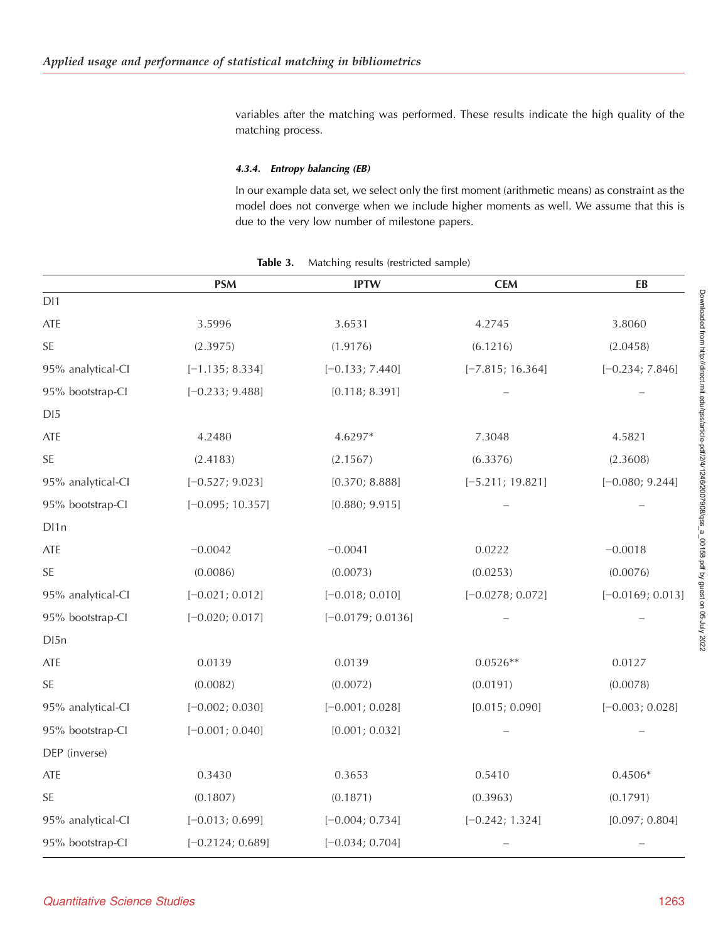<span id="page-17-0"></span>variables after the matching was performed. These results indicate the high quality of the matching process.

## 4.3.4. Entropy balancing (EB)

In our example data set, we select only the first moment (arithmetic means) as constraint as the model does not converge when we include higher moments as well. We assume that this is due to the very low number of milestone papers.

|                      | <b>PSM</b>         | <b>IPTW</b>         | <b>CEM</b>         | EB                 |
|----------------------|--------------------|---------------------|--------------------|--------------------|
| DI1                  |                    |                     |                    |                    |
| ATE                  | 3.5996             | 3.6531              | 4.2745             | 3.8060             |
| $\mathsf{SE}\xspace$ | (2.3975)           | (1.9176)            | (6.1216)           | (2.0458)           |
| 95% analytical-CI    | $[-1.135; 8.334]$  | $[-0.133; 7.440]$   | $[-7.815; 16.364]$ | $[-0.234; 7.846]$  |
| 95% bootstrap-Cl     | $[-0.233; 9.488]$  | [0.118; 8.391]      |                    |                    |
| DI5                  |                    |                     |                    |                    |
| ATE                  | 4.2480             | 4.6297*             | 7.3048             | 4.5821             |
| SE                   | (2.4183)           | (2.1567)            | (6.3376)           | (2.3608)           |
| 95% analytical-CI    | $[-0.527; 9.023]$  | [0.370; 8.888]      | $[-5.211; 19.821]$ | $[-0.080; 9.244]$  |
| 95% bootstrap-CI     | $[-0.095; 10.357]$ | [0.880; 9.915]      |                    |                    |
| DI1 <sub>n</sub>     |                    |                     |                    |                    |
| ATE                  | $-0.0042$          | $-0.0041$           | 0.0222             | $-0.0018$          |
| SE                   | (0.0086)           | (0.0073)            | (0.0253)           | (0.0076)           |
| 95% analytical-CI    | $[-0.021; 0.012]$  | $[-0.018; 0.010]$   | $[-0.0278; 0.072]$ | $[-0.0169; 0.013]$ |
| 95% bootstrap-CI     | $[-0.020; 0.017]$  | $[-0.0179; 0.0136]$ |                    |                    |
| DI <sub>5</sub> n    |                    |                     |                    |                    |
| ATE                  | 0.0139             | 0.0139              | $0.0526**$         | 0.0127             |
| SE                   | (0.0082)           | (0.0072)            | (0.0191)           | (0.0078)           |
| 95% analytical-CI    | $[-0.002; 0.030]$  | $[-0.001; 0.028]$   | [0.015; 0.090]     | $[-0.003; 0.028]$  |
| 95% bootstrap-CI     | $[-0.001; 0.040]$  | [0.001; 0.032]      |                    |                    |
| DEP (inverse)        |                    |                     |                    |                    |
| ATE                  | 0.3430             | 0.3653              | 0.5410             | $0.4506*$          |
| SE                   | (0.1807)           | (0.1871)            | (0.3963)           | (0.1791)           |
| 95% analytical-CI    | $[-0.013; 0.699]$  | $[-0.004; 0.734]$   | $[-0.242; 1.324]$  | [0.097; 0.804]     |
| 95% bootstrap-Cl     | $[-0.2124; 0.689]$ | $[-0.034; 0.704]$   |                    |                    |

Table 3. Matching results (restricted sample)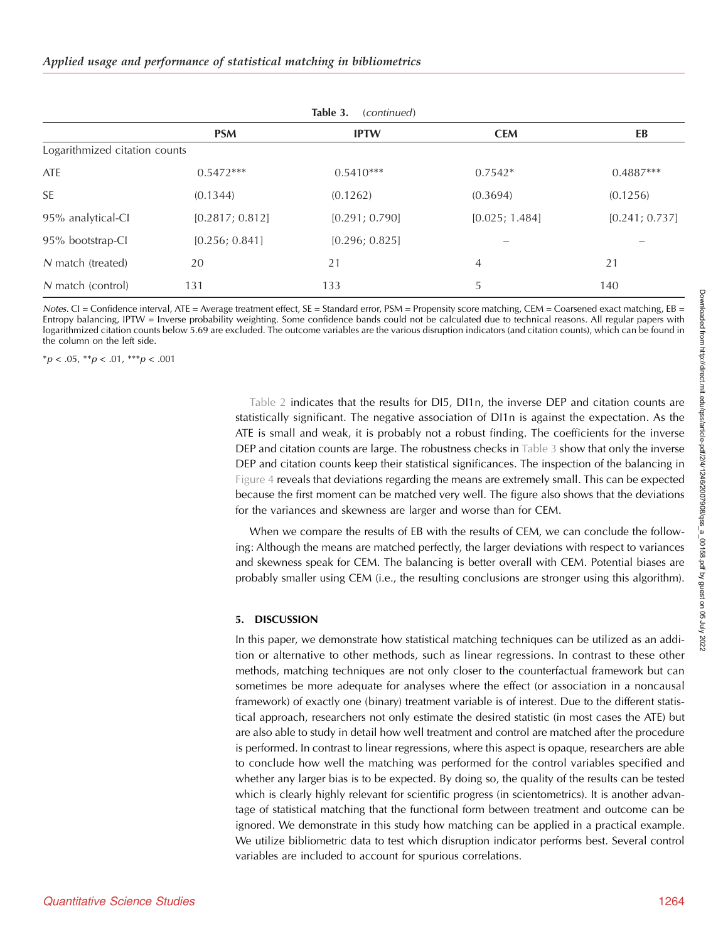| Table 3.<br>(continued)       |                 |                |                |                |  |
|-------------------------------|-----------------|----------------|----------------|----------------|--|
|                               | <b>PSM</b>      | <b>IPTW</b>    | <b>CEM</b>     | EB             |  |
| Logarithmized citation counts |                 |                |                |                |  |
| ATE                           | $0.5472***$     | $0.5410***$    | $0.7542*$      | $0.4887***$    |  |
| <b>SE</b>                     | (0.1344)        | (0.1262)       | (0.3694)       | (0.1256)       |  |
| 95% analytical-CI             | [0.2817; 0.812] | [0.291; 0.790] | [0.025; 1.484] | [0.241; 0.737] |  |
| 95% bootstrap-Cl              | [0.256; 0.841]  | [0.296; 0.825] |                |                |  |
| N match (treated)             | 20              | 21             | 4              | 21             |  |
| N match (control)             | 131             | 133            | 5              | 140            |  |

Notes. CI = Confidence interval, ATE = Average treatment effect, SE = Standard error, PSM = Propensity score matching, CEM = Coarsened exact matching, EB = Entropy balancing, IPTW = Inverse probability weighting. Some confidence bands could not be calculated due to technical reasons. All regular papers with logarithmized citation counts below 5.69 are excluded. The outcome variables are the various disruption indicators (and citation counts), which can be found in the column on the left side.

 $**p* < .05, ***p* < .01, ***p* < .001$ 

[Table 2](#page-15-0) indicates that the results for DI5, DI1n, the inverse DEP and citation counts are statistically significant. The negative association of DI1n is against the expectation. As the ATE is small and weak, it is probably not a robust finding. The coefficients for the inverse DEP and citation counts are large. The robustness checks in [Table 3](#page-17-0) show that only the inverse DEP and citation counts keep their statistical significances. The inspection of the balancing in [Figure 4](#page-14-0) reveals that deviations regarding the means are extremely small. This can be expected because the first moment can be matched very well. The figure also shows that the deviations for the variances and skewness are larger and worse than for CEM.

When we compare the results of EB with the results of CEM, we can conclude the following: Although the means are matched perfectly, the larger deviations with respect to variances and skewness speak for CEM. The balancing is better overall with CEM. Potential biases are probably smaller using CEM (i.e., the resulting conclusions are stronger using this algorithm).

#### 5. DISCUSSION

In this paper, we demonstrate how statistical matching techniques can be utilized as an addition or alternative to other methods, such as linear regressions. In contrast to these other methods, matching techniques are not only closer to the counterfactual framework but can sometimes be more adequate for analyses where the effect (or association in a noncausal framework) of exactly one (binary) treatment variable is of interest. Due to the different statistical approach, researchers not only estimate the desired statistic (in most cases the ATE) but are also able to study in detail how well treatment and control are matched after the procedure is performed. In contrast to linear regressions, where this aspect is opaque, researchers are able to conclude how well the matching was performed for the control variables specified and whether any larger bias is to be expected. By doing so, the quality of the results can be tested which is clearly highly relevant for scientific progress (in scientometrics). It is another advantage of statistical matching that the functional form between treatment and outcome can be ignored. We demonstrate in this study how matching can be applied in a practical example. We utilize bibliometric data to test which disruption indicator performs best. Several control variables are included to account for spurious correlations.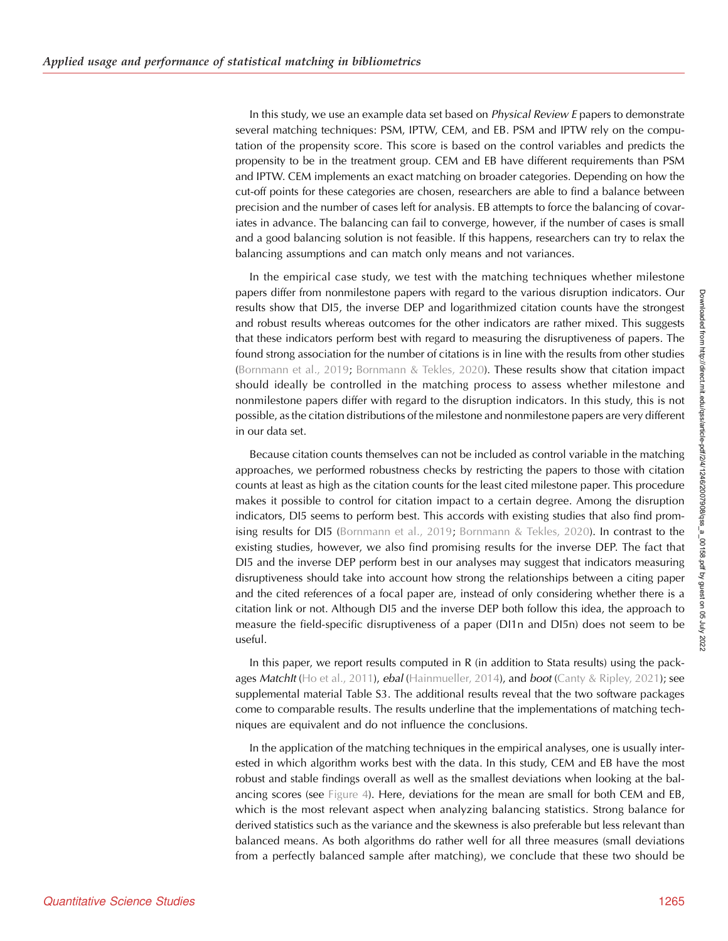In this study, we use an example data set based on *Physical Review E* papers to demonstrate several matching techniques: PSM, IPTW, CEM, and EB. PSM and IPTW rely on the computation of the propensity score. This score is based on the control variables and predicts the propensity to be in the treatment group. CEM and EB have different requirements than PSM and IPTW. CEM implements an exact matching on broader categories. Depending on how the cut-off points for these categories are chosen, researchers are able to find a balance between precision and the number of cases left for analysis. EB attempts to force the balancing of covariates in advance. The balancing can fail to converge, however, if the number of cases is small and a good balancing solution is not feasible. If this happens, researchers can try to relax the balancing assumptions and can match only means and not variances.

In the empirical case study, we test with the matching techniques whether milestone papers differ from nonmilestone papers with regard to the various disruption indicators. Our results show that DI5, the inverse DEP and logarithmized citation counts have the strongest and robust results whereas outcomes for the other indicators are rather mixed. This suggests that these indicators perform best with regard to measuring the disruptiveness of papers. The found strong association for the number of citations is in line with the results from other studies ([Bornmann et al., 2019;](#page-23-0) [Bornmann & Tekles, 2020](#page-23-0)). These results show that citation impact should ideally be controlled in the matching process to assess whether milestone and nonmilestone papers differ with regard to the disruption indicators. In this study, this is not possible, as the citation distributions of the milestone and nonmilestone papers are very different in our data set.

Because citation counts themselves can not be included as control variable in the matching approaches, we performed robustness checks by restricting the papers to those with citation counts at least as high as the citation counts for the least cited milestone paper. This procedure makes it possible to control for citation impact to a certain degree. Among the disruption indicators, DI5 seems to perform best. This accords with existing studies that also find promising results for DI5 ([Bornmann et al., 2019](#page-23-0); [Bornmann & Tekles, 2020\)](#page-23-0). In contrast to the existing studies, however, we also find promising results for the inverse DEP. The fact that DI5 and the inverse DEP perform best in our analyses may suggest that indicators measuring disruptiveness should take into account how strong the relationships between a citing paper and the cited references of a focal paper are, instead of only considering whether there is a citation link or not. Although DI5 and the inverse DEP both follow this idea, the approach to measure the field-specific disruptiveness of a paper (DI1n and DI5n) does not seem to be useful.

In this paper, we report results computed in R (in addition to Stata results) using the pack-ages Matchlt ([Ho et al., 2011](#page-23-0)), ebal [\(Hainmueller, 2014](#page-23-0)), and boot ([Canty & Ripley, 2021](#page-23-0)); see supplemental material Table S3. The additional results reveal that the two software packages come to comparable results. The results underline that the implementations of matching techniques are equivalent and do not influence the conclusions.

In the application of the matching techniques in the empirical analyses, one is usually interested in which algorithm works best with the data. In this study, CEM and EB have the most robust and stable findings overall as well as the smallest deviations when looking at the balancing scores (see [Figure 4\)](#page-14-0). Here, deviations for the mean are small for both CEM and EB, which is the most relevant aspect when analyzing balancing statistics. Strong balance for derived statistics such as the variance and the skewness is also preferable but less relevant than balanced means. As both algorithms do rather well for all three measures (small deviations from a perfectly balanced sample after matching), we conclude that these two should be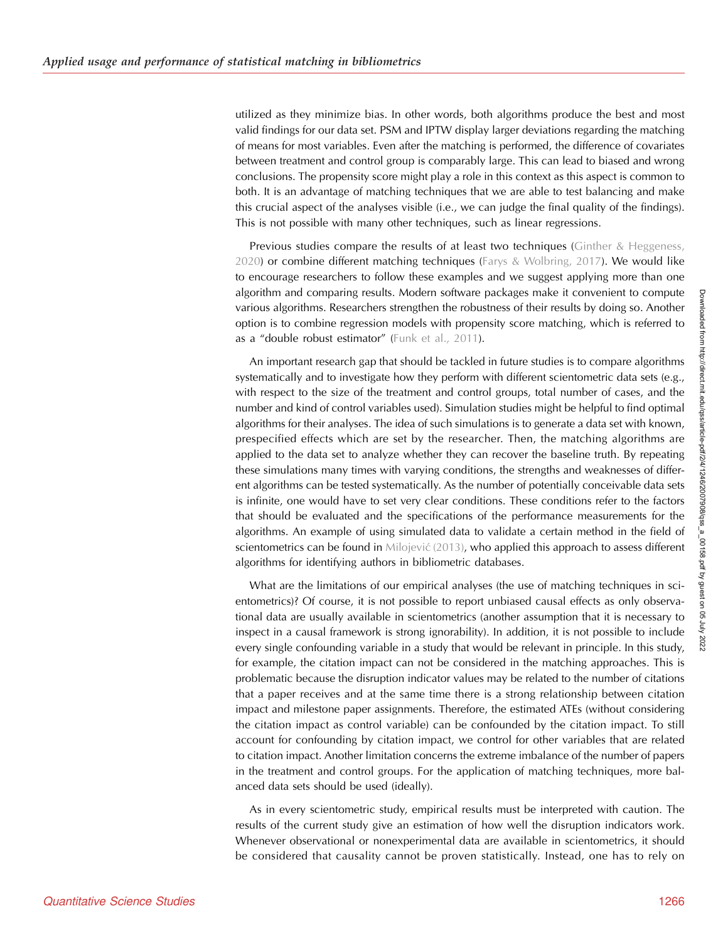utilized as they minimize bias. In other words, both algorithms produce the best and most valid findings for our data set. PSM and IPTW display larger deviations regarding the matching of means for most variables. Even after the matching is performed, the difference of covariates between treatment and control group is comparably large. This can lead to biased and wrong conclusions. The propensity score might play a role in this context as this aspect is common to both. It is an advantage of matching techniques that we are able to test balancing and make this crucial aspect of the analyses visible (i.e., we can judge the final quality of the findings). This is not possible with many other techniques, such as linear regressions.

Previous studies compare the results of at least two techniques [\(Ginther & Heggeness,](#page-23-0) [2020](#page-23-0)) or combine different matching techniques ([Farys & Wolbring, 2017\)](#page-23-0). We would like to encourage researchers to follow these examples and we suggest applying more than one algorithm and comparing results. Modern software packages make it convenient to compute various algorithms. Researchers strengthen the robustness of their results by doing so. Another option is to combine regression models with propensity score matching, which is referred to as a "double robust estimator" ([Funk et al., 2011\)](#page-23-0).

An important research gap that should be tackled in future studies is to compare algorithms systematically and to investigate how they perform with different scientometric data sets (e.g., with respect to the size of the treatment and control groups, total number of cases, and the number and kind of control variables used). Simulation studies might be helpful to find optimal algorithms for their analyses. The idea of such simulations is to generate a data set with known, prespecified effects which are set by the researcher. Then, the matching algorithms are applied to the data set to analyze whether they can recover the baseline truth. By repeating these simulations many times with varying conditions, the strengths and weaknesses of different algorithms can be tested systematically. As the number of potentially conceivable data sets is infinite, one would have to set very clear conditions. These conditions refer to the factors that should be evaluated and the specifications of the performance measurements for the algorithms. An example of using simulated data to validate a certain method in the field of scientometrics can be found in [Milojevi](#page-24-0)ć (2013), who applied this approach to assess different algorithms for identifying authors in bibliometric databases.

What are the limitations of our empirical analyses (the use of matching techniques in scientometrics)? Of course, it is not possible to report unbiased causal effects as only observational data are usually available in scientometrics (another assumption that it is necessary to inspect in a causal framework is strong ignorability). In addition, it is not possible to include every single confounding variable in a study that would be relevant in principle. In this study, for example, the citation impact can not be considered in the matching approaches. This is problematic because the disruption indicator values may be related to the number of citations that a paper receives and at the same time there is a strong relationship between citation impact and milestone paper assignments. Therefore, the estimated ATEs (without considering the citation impact as control variable) can be confounded by the citation impact. To still account for confounding by citation impact, we control for other variables that are related to citation impact. Another limitation concerns the extreme imbalance of the number of papers in the treatment and control groups. For the application of matching techniques, more balanced data sets should be used (ideally).

As in every scientometric study, empirical results must be interpreted with caution. The results of the current study give an estimation of how well the disruption indicators work. Whenever observational or nonexperimental data are available in scientometrics, it should be considered that causality cannot be proven statistically. Instead, one has to rely on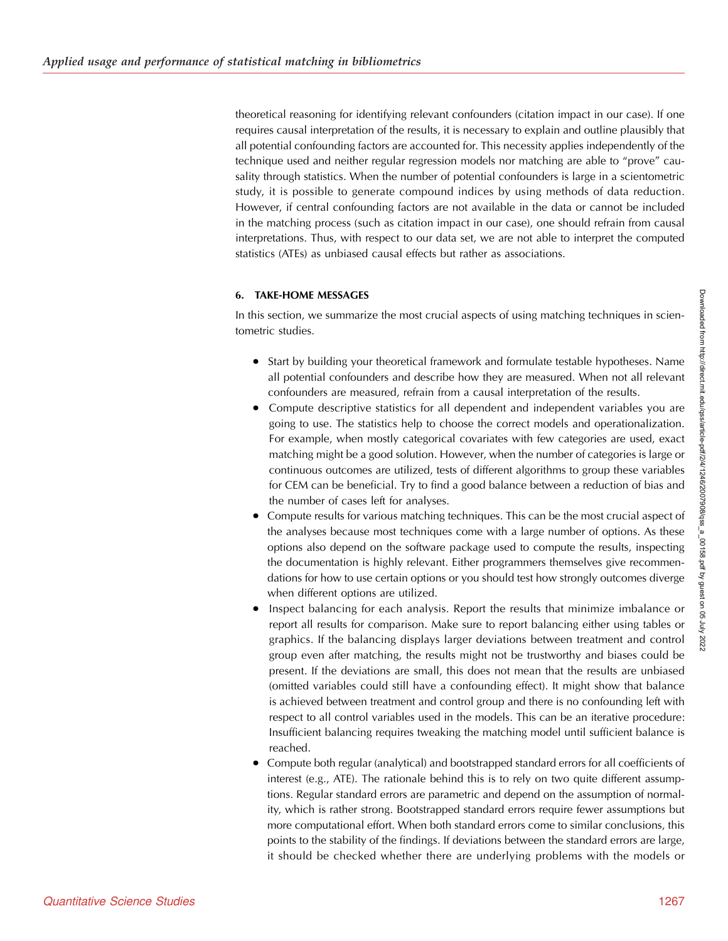theoretical reasoning for identifying relevant confounders (citation impact in our case). If one requires causal interpretation of the results, it is necessary to explain and outline plausibly that all potential confounding factors are accounted for. This necessity applies independently of the technique used and neither regular regression models nor matching are able to "prove" causality through statistics. When the number of potential confounders is large in a scientometric study, it is possible to generate compound indices by using methods of data reduction. However, if central confounding factors are not available in the data or cannot be included in the matching process (such as citation impact in our case), one should refrain from causal interpretations. Thus, with respect to our data set, we are not able to interpret the computed statistics (ATEs) as unbiased causal effects but rather as associations.

## 6. TAKE-HOME MESSAGES

In this section, we summarize the most crucial aspects of using matching techniques in scientometric studies.

- Start by building your theoretical framework and formulate testable hypotheses. Name all potential confounders and describe how they are measured. When not all relevant confounders are measured, refrain from a causal interpretation of the results.
- Compute descriptive statistics for all dependent and independent variables you are going to use. The statistics help to choose the correct models and operationalization. For example, when mostly categorical covariates with few categories are used, exact matching might be a good solution. However, when the number of categories is large or continuous outcomes are utilized, tests of different algorithms to group these variables for CEM can be beneficial. Try to find a good balance between a reduction of bias and the number of cases left for analyses.
- Compute results for various matching techniques. This can be the most crucial aspect of the analyses because most techniques come with a large number of options. As these options also depend on the software package used to compute the results, inspecting the documentation is highly relevant. Either programmers themselves give recommendations for how to use certain options or you should test how strongly outcomes diverge when different options are utilized.
- Inspect balancing for each analysis. Report the results that minimize imbalance or report all results for comparison. Make sure to report balancing either using tables or graphics. If the balancing displays larger deviations between treatment and control group even after matching, the results might not be trustworthy and biases could be present. If the deviations are small, this does not mean that the results are unbiased (omitted variables could still have a confounding effect). It might show that balance is achieved between treatment and control group and there is no confounding left with respect to all control variables used in the models. This can be an iterative procedure: Insufficient balancing requires tweaking the matching model until sufficient balance is reached.
- Compute both regular (analytical) and bootstrapped standard errors for all coefficients of interest (e.g., ATE). The rationale behind this is to rely on two quite different assumptions. Regular standard errors are parametric and depend on the assumption of normality, which is rather strong. Bootstrapped standard errors require fewer assumptions but more computational effort. When both standard errors come to similar conclusions, this points to the stability of the findings. If deviations between the standard errors are large, it should be checked whether there are underlying problems with the models or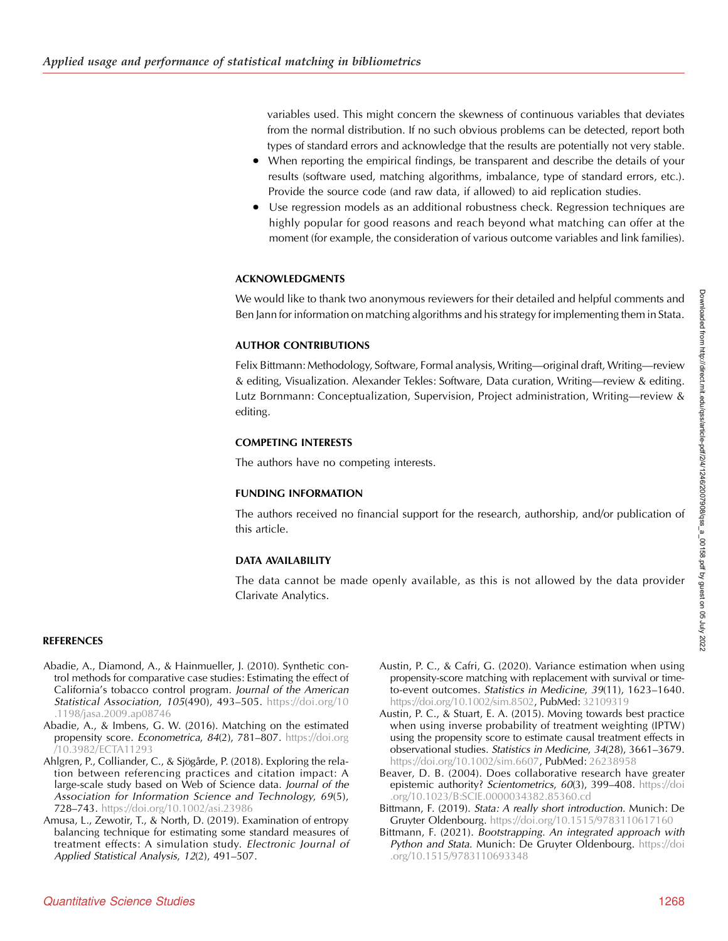<span id="page-22-0"></span>variables used. This might concern the skewness of continuous variables that deviates from the normal distribution. If no such obvious problems can be detected, report both types of standard errors and acknowledge that the results are potentially not very stable.

- When reporting the empirical findings, be transparent and describe the details of your results (software used, matching algorithms, imbalance, type of standard errors, etc.). Provide the source code (and raw data, if allowed) to aid replication studies.
- Use regression models as an additional robustness check. Regression techniques are highly popular for good reasons and reach beyond what matching can offer at the moment (for example, the consideration of various outcome variables and link families).

## ACKNOWLEDGMENTS

We would like to thank two anonymous reviewers for their detailed and helpful comments and Ben Jann for information on matching algorithms and his strategy for implementing them in Stata.

## AUTHOR CONTRIBUTIONS

Felix Bittmann: Methodology, Software, Formal analysis, Writing—original draft, Writing—review & editing, Visualization. Alexander Tekles: Software, Data curation, Writing—review & editing. Lutz Bornmann: Conceptualization, Supervision, Project administration, Writing—review & editing.

## COMPETING INTERESTS

The authors have no competing interests.

# FUNDING INFORMATION

The authors received no financial support for the research, authorship, and/or publication of this article.

# DATA AVAILABILITY

The data cannot be made openly available, as this is not allowed by the data provider Clarivate Analytics.

# REFERENCES

- Abadie, A., Diamond, A., & Hainmueller, J. (2010). Synthetic control methods for comparative case studies: Estimating the effect of California's tobacco control program. Journal of the American Statistical Association, 105(490), 493–505. [https://doi.org/10](https://doi.org/10.1198/jasa.2009.ap08746) [.1198/jasa.2009.ap08746](https://doi.org/10.1198/jasa.2009.ap08746)
- Abadie, A., & Imbens, G. W. (2016). Matching on the estimated propensity score. Econometrica, 84(2), 781-807. [https://doi.org](https://doi.org/10.3982/ECTA11293) [/10.3982/ECTA11293](https://doi.org/10.3982/ECTA11293)
- Ahlgren, P., Colliander, C., & Sjögårde, P. (2018). Exploring the relation between referencing practices and citation impact: A large-scale study based on Web of Science data. Journal of the Association for Information Science and Technology, 69(5), 728–743. <https://doi.org/10.1002/asi.23986>
- Amusa, L., Zewotir, T., & North, D. (2019). Examination of entropy balancing technique for estimating some standard measures of treatment effects: A simulation study. Electronic Journal of Applied Statistical Analysis, 12(2), 491–507.
- Austin, P. C., & Cafri, G. (2020). Variance estimation when using propensity-score matching with replacement with survival or timeto-event outcomes. Statistics in Medicine, 39(11), 1623–1640. <https://doi.org/10.1002/sim.8502>, PubMed: [32109319](https://pubmed.ncbi.nlm.nih.gov/32109319)
- Austin, P. C., & Stuart, E. A. (2015). Moving towards best practice when using inverse probability of treatment weighting (IPTW) using the propensity score to estimate causal treatment effects in observational studies. Statistics in Medicine, 34(28), 3661–3679. [https://doi.org/10.1002/sim.6607,](https://doi.org/10.1002/sim.6607) **PubMed:** [26238958](https://pubmed.ncbi.nlm.nih.gov/26238958)
- Beaver, D. B. (2004). Does collaborative research have greater epistemic authority? Scientometrics, 60(3), 399-408. [https://doi](https://doi.org/10.1023/B:SCIE.0000034382.85360.cd) [.org/10.1023/B:SCIE.0000034382.85360.cd](https://doi.org/10.1023/B:SCIE.0000034382.85360.cd)
- Bittmann, F. (2019). Stata: A really short introduction. Munich: De Gruyter Oldenbourg. <https://doi.org/10.1515/9783110617160>
- Bittmann, F. (2021). Bootstrapping. An integrated approach with Python and Stata. Munich: De Gruyter Oldenbourg. [https://doi](https://doi.org/10.1515/9783110693348) [.org/10.1515/9783110693348](https://doi.org/10.1515/9783110693348)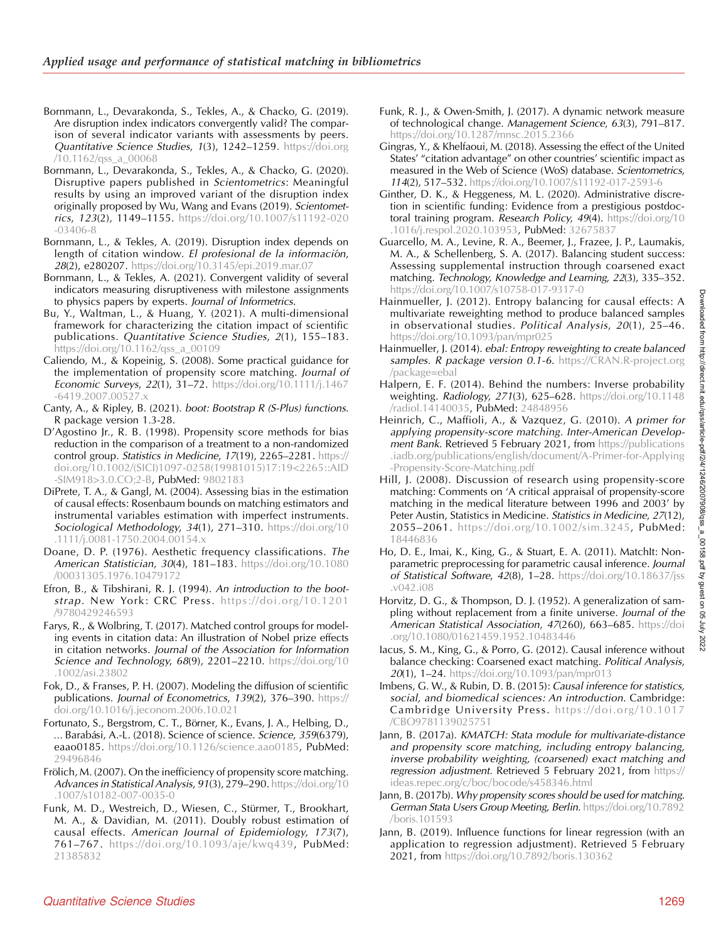- <span id="page-23-0"></span>Bornmann, L., Devarakonda, S., Tekles, A., & Chacko, G. (2019). Are disruption index indicators convergently valid? The comparison of several indicator variants with assessments by peers. Quantitative Science Studies, 1(3), 1242–1259. [https://doi.org](https://doi.org/10.1162/qss_a_00068) [/10.1162/qss\\_a\\_00068](https://doi.org/10.1162/qss_a_00068)
- Bornmann, L., Devarakonda, S., Tekles, A., & Chacko, G. (2020). Disruptive papers published in Scientometrics: Meaningful results by using an improved variant of the disruption index originally proposed by Wu, Wang and Evans (2019). Scientometrics, 123(2), 1149–1155. [https://doi.org/10.1007/s11192-020](https://doi.org/10.1007/s11192-020-03406-8) [-03406-8](https://doi.org/10.1007/s11192-020-03406-8)
- Bornmann, L., & Tekles, A. (2019). Disruption index depends on length of citation window. El profesional de la información, 28(2), e280207. <https://doi.org/10.3145/epi.2019.mar.07>
- Bornmann, L., & Tekles, A. (2021). Convergent validity of several indicators measuring disruptiveness with milestone assignments to physics papers by experts. Journal of Informetrics.
- Bu, Y., Waltman, L., & Huang, Y. (2021). A multi-dimensional framework for characterizing the citation impact of scientific publications. Quantitative Science Studies, 2(1), 155–183. [https://doi.org/10.1162/qss\\_a\\_00109](https://doi.org/10.1162/qss_a_00109)
- Caliendo, M., & Kopeinig, S. (2008). Some practical guidance for the implementation of propensity score matching. Journal of Economic Surveys, 22(1), 31–72. [https://doi.org/10.1111/j.1467](https://doi.org/10.1111/j.1467-6419.2007.00527.x) [-6419.2007.00527.x](https://doi.org/10.1111/j.1467-6419.2007.00527.x)
- Canty, A., & Ripley, B. (2021). boot: Bootstrap R (S-Plus) functions. R package version 1.3-28.
- D'Agostino Jr., R. B. (1998). Propensity score methods for bias reduction in the comparison of a treatment to a non-randomized control group. Statistics in Medicine, 17(19), 2265–2281. [https://](https://doi.org/10.1002/(SICI)1097-0258(19981015)17:193.0.CO;2-B) [doi.org/10.1002/\(SICI\)1097-0258\(19981015\)17:19<2265::AID](https://doi.org/10.1002/(SICI)1097-0258(19981015)17:193.0.CO;2-B) [-SIM918>3.0.CO;2-B,](https://doi.org/10.1002/(SICI)1097-0258(19981015)17:193.0.CO;2-B) PubMed: [9802183](https://pubmed.ncbi.nlm.nih.gov/9802183)
- DiPrete, T. A., & Gangl, M. (2004). Assessing bias in the estimation of causal effects: Rosenbaum bounds on matching estimators and instrumental variables estimation with imperfect instruments. Sociological Methodology, 34(1), 271-310. [https://doi.org/10](https://doi.org/10.1111/j.0081-1750.2004.00154.x) [.1111/j.0081-1750.2004.00154.x](https://doi.org/10.1111/j.0081-1750.2004.00154.x)
- Doane, D. P. (1976). Aesthetic frequency classifications. The American Statistician, 30(4), 181–183. [https://doi.org/10.1080](https://doi.org/10.1080/00031305.1976.10479172) [/00031305.1976.10479172](https://doi.org/10.1080/00031305.1976.10479172)
- Efron, B., & Tibshirani, R. J. (1994). An introduction to the bootstrap. New York: CRC Press. [https://doi.org/10.1201](https://doi.org/10.1201/9780429246593) [/9780429246593](https://doi.org/10.1201/9780429246593)
- Farys, R., & Wolbring, T. (2017). Matched control groups for modeling events in citation data: An illustration of Nobel prize effects in citation networks. Journal of the Association for Information Science and Technology, 68(9), 2201-2210. [https://doi.org/10](https://doi.org/10.1002/asi.23802) [.1002/asi.23802](https://doi.org/10.1002/asi.23802)
- Fok, D., & Franses, P. H. (2007). Modeling the diffusion of scientific publications. Journal of Econometrics, 139(2), 376–390. [https://](https://doi.org/10.1016/j.jeconom.2006.10.021) [doi.org/10.1016/j.jeconom.2006.10.021](https://doi.org/10.1016/j.jeconom.2006.10.021)
- Fortunato, S., Bergstrom, C. T., Börner, K., Evans, J. A., Helbing, D., … Barabási, A.-L. (2018). Science of science. Science, 359(6379), eaao0185. [https://doi.org/10.1126/science.aao0185,](https://doi.org/10.1126/science.aao0185) PubMed: [29496846](https://pubmed.ncbi.nlm.nih.gov/29496846)
- Frölich, M. (2007). On the inefficiency of propensity score matching. Advances in Statistical Analysis, 91(3), 279-290. [https://doi.org/10](https://doi.org/10.1007/s10182-007-0035-0) [.1007/s10182-007-0035-0](https://doi.org/10.1007/s10182-007-0035-0)
- Funk, M. D., Westreich, D., Wiesen, C., Stürmer, T., Brookhart, M. A., & Davidian, M. (2011). Doubly robust estimation of causal effects. American Journal of Epidemiology, 173(7), 761–767. <https://doi.org/10.1093/aje/kwq439>, PubMed: [21385832](https://pubmed.ncbi.nlm.nih.gov/21385832)
- Funk, R. J., & Owen-Smith, J. (2017). A dynamic network measure of technological change. Management Science, 63(3), 791–817. <https://doi.org/10.1287/mnsc.2015.2366>
- Gingras, Y., & Khelfaoui, M. (2018). Assessing the effect of the United States' "citation advantage" on other countries' scientific impact as measured in the Web of Science (WoS) database. Scientometrics, 114(2), 517–532. <https://doi.org/10.1007/s11192-017-2593-6>
- Ginther, D. K., & Heggeness, M. L. (2020). Administrative discretion in scientific funding: Evidence from a prestigious postdoctoral training program. Research Policy, 49(4). [https://doi.org/10](https://doi.org/10.1016/j.respol.2020.103953) [.1016/j.respol.2020.103953,](https://doi.org/10.1016/j.respol.2020.103953) PubMed: [32675837](https://pubmed.ncbi.nlm.nih.gov/32675837)
- Guarcello, M. A., Levine, R. A., Beemer, J., Frazee, J. P., Laumakis, M. A., & Schellenberg, S. A. (2017). Balancing student success: Assessing supplemental instruction through coarsened exact matching. Technology, Knowledge and Learning, 22(3), 335–352. <https://doi.org/10.1007/s10758-017-9317-0>
- Hainmueller, J. (2012). Entropy balancing for causal effects: A multivariate reweighting method to produce balanced samples in observational studies. Political Analysis, 20(1), 25–46. <https://doi.org/10.1093/pan/mpr025>
- Hainmueller, J. (2014). ebal: Entropy reweighting to create balanced samples. R package version 0.1-6. [https://CRAN.R-project.org](https://CRAN.R-project.org/package=ebal) [/package=ebal](https://CRAN.R-project.org/package=ebal)
- Halpern, E. F. (2014). Behind the numbers: Inverse probability weighting. Radiology, 271(3), 625–628. [https://doi.org/10.1148](https://doi.org/10.1148/radiol.14140035) [/radiol.14140035](https://doi.org/10.1148/radiol.14140035), PubMed: [24848956](https://pubmed.ncbi.nlm.nih.gov/24848956)
- Heinrich, C., Maffioli, A., & Vazquez, G. (2010). A primer for applying propensity-score matching. Inter-American Development Bank. Retrieved 5 February 2021, from [https://publications](https://publications.iadb.org/publications/english/document/A-Primer-for-Applying-Propensity-Score-Matching.pdf) [.iadb.org/publications/english/document/A-Primer-for-Applying](https://publications.iadb.org/publications/english/document/A-Primer-for-Applying-Propensity-Score-Matching.pdf) [-Propensity-Score-Matching.pdf](https://publications.iadb.org/publications/english/document/A-Primer-for-Applying-Propensity-Score-Matching.pdf)
- Hill, J. (2008). Discussion of research using propensity-score matching: Comments on 'A critical appraisal of propensity-score matching in the medical literature between 1996 and 2003' by Peter Austin, Statistics in Medicine. Statistics in Medicine, 27(12), 2055–2061. <https://doi.org/10.1002/sim.3245>, PubMed: [18446836](https://pubmed.ncbi.nlm.nih.gov/18446836)
- Ho, D. E., Imai, K., King, G., & Stuart, E. A. (2011). MatchIt: Nonparametric preprocessing for parametric causal inference. Journal of Statistical Software,  $42(8)$ , 1–28. [https://doi.org/10.18637/jss](https://doi.org/10.18637/jss.v042.i08) [.v042.i08](https://doi.org/10.18637/jss.v042.i08)
- Horvitz, D. G., & Thompson, D. J. (1952). A generalization of sampling without replacement from a finite universe. Journal of the American Statistical Association, 47(260), 663-685. [https://doi](https://doi.org/10.1080/01621459.1952.10483446) [.org/10.1080/01621459.1952.10483446](https://doi.org/10.1080/01621459.1952.10483446)
- Iacus, S. M., King, G., & Porro, G. (2012). Causal inference without balance checking: Coarsened exact matching. Political Analysis, 20(1), 1–24. <https://doi.org/10.1093/pan/mpr013>
- Imbens, G. W., & Rubin, D. B. (2015): Causal inference for statistics, social, and biomedical sciences: An introduction. Cambridge: Cambridge University Press. [https://doi.org/10.1017](https://doi.org/10.1017/CBO9781139025751) [/CBO9781139025751](https://doi.org/10.1017/CBO9781139025751)
- Jann, B. (2017a). KMATCH: Stata module for multivariate-distance and propensity score matching, including entropy balancing, inverse probability weighting, (coarsened) exact matching and regression adjustment. Retrieved 5 February 2021, from [https://](https://ideas.repec.org/c/boc/bocode/s458346.html) [ideas.repec.org/c/boc/bocode/s458346.html](https://ideas.repec.org/c/boc/bocode/s458346.html)
- Jann, B. (2017b). Why propensity scores should be used for matching. German Stata Users Group Meeting, Berlin. [https://doi.org/10.7892](https://doi.org/10.7892/boris.101593) [/boris.101593](https://doi.org/10.7892/boris.101593)
- Jann, B. (2019). Influence functions for linear regression (with an application to regression adjustment). Retrieved 5 February 2021, from <https://doi.org/10.7892/boris.130362>